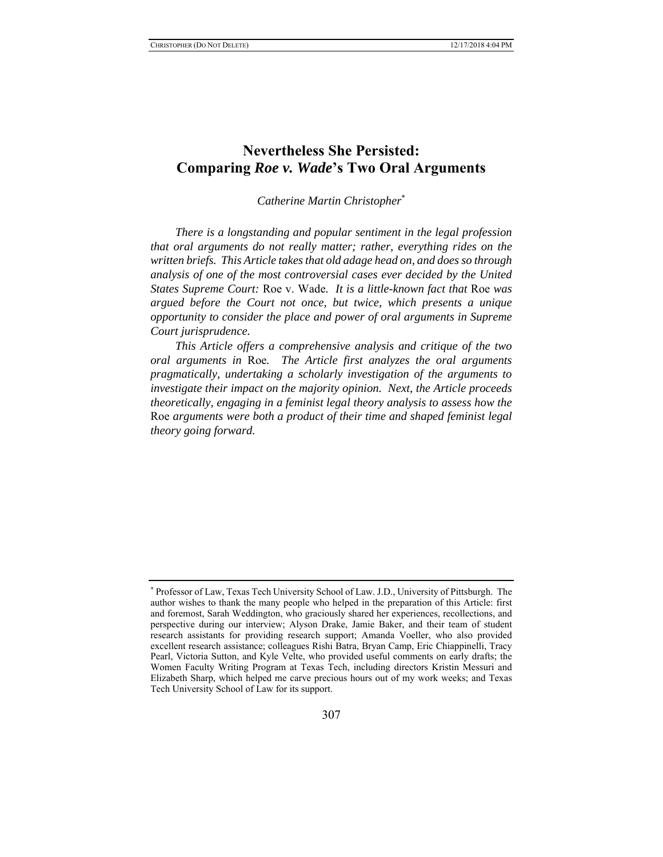# **Nevertheless She Persisted: Comparing** *Roe v. Wade***'s Two Oral Arguments**

*Catherine Martin Christopher*\*

*There is a longstanding and popular sentiment in the legal profession that oral arguments do not really matter; rather, everything rides on the written briefs. This Article takes that old adage head on, and does so through analysis of one of the most controversial cases ever decided by the United States Supreme Court:* Roe v. Wade*. It is a little-known fact that* Roe *was argued before the Court not once, but twice, which presents a unique opportunity to consider the place and power of oral arguments in Supreme Court jurisprudence.* 

*This Article offers a comprehensive analysis and critique of the two oral arguments in* Roe*. The Article first analyzes the oral arguments pragmatically, undertaking a scholarly investigation of the arguments to investigate their impact on the majority opinion. Next, the Article proceeds theoretically, engaging in a feminist legal theory analysis to assess how the*  Roe *arguments were both a product of their time and shaped feminist legal theory going forward.* 

<sup>\*</sup> Professor of Law, Texas Tech University School of Law. J.D., University of Pittsburgh. The author wishes to thank the many people who helped in the preparation of this Article: first and foremost, Sarah Weddington, who graciously shared her experiences, recollections, and perspective during our interview; Alyson Drake, Jamie Baker, and their team of student research assistants for providing research support; Amanda Voeller, who also provided excellent research assistance; colleagues Rishi Batra, Bryan Camp, Eric Chiappinelli, Tracy Pearl, Victoria Sutton, and Kyle Velte, who provided useful comments on early drafts; the Women Faculty Writing Program at Texas Tech, including directors Kristin Messuri and Elizabeth Sharp, which helped me carve precious hours out of my work weeks; and Texas Tech University School of Law for its support.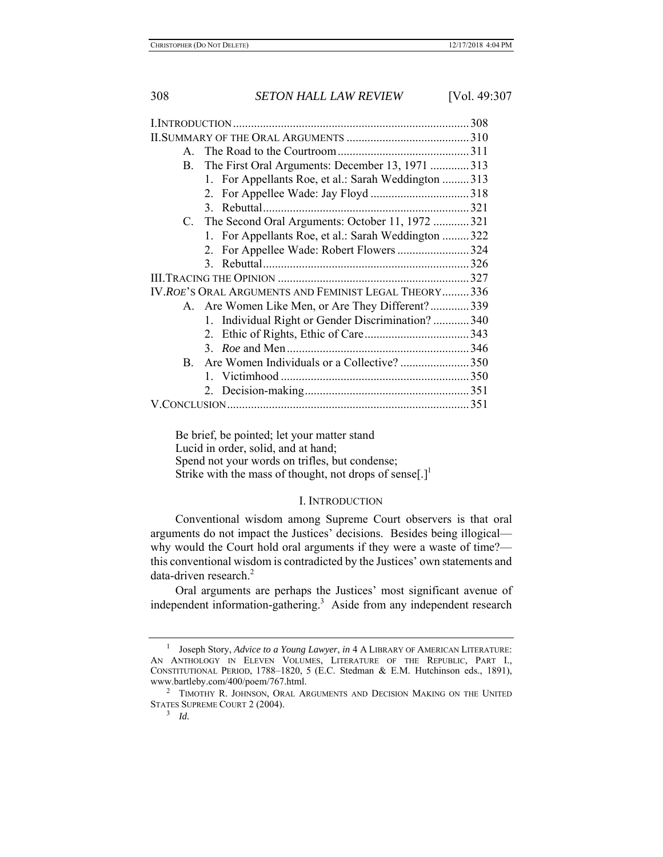| $\mathbf{A}$ |                                                      |  |
|--------------|------------------------------------------------------|--|
| В.           | The First Oral Arguments: December 13, 1971 313      |  |
|              | 1. For Appellants Roe, et al.: Sarah Weddington  313 |  |
|              |                                                      |  |
|              |                                                      |  |
|              | C. The Second Oral Arguments: October 11, 1972 321   |  |
|              | 1. For Appellants Roe, et al.: Sarah Weddington  322 |  |
|              | 2. For Appellee Wade: Robert Flowers 324             |  |
|              |                                                      |  |
|              |                                                      |  |
|              | IV.ROE'S ORAL ARGUMENTS AND FEMINIST LEGAL THEORY336 |  |
|              | A. Are Women Like Men, or Are They Different?339     |  |
|              | 1. Individual Right or Gender Discrimination?  340   |  |
|              |                                                      |  |
|              |                                                      |  |
| $\mathbf{B}$ | Are Women Individuals or a Collective? 350           |  |
|              |                                                      |  |
|              |                                                      |  |
|              |                                                      |  |

Be brief, be pointed; let your matter stand Lucid in order, solid, and at hand; Spend not your words on trifles, but condense; Strike with the mass of thought, not drops of sense $[.]^{\perp}$ 

### I. INTRODUCTION

Conventional wisdom among Supreme Court observers is that oral arguments do not impact the Justices' decisions. Besides being illogical why would the Court hold oral arguments if they were a waste of time? this conventional wisdom is contradicted by the Justices' own statements and data-driven research.<sup>2</sup>

Oral arguments are perhaps the Justices' most significant avenue of independent information-gathering.<sup>3</sup> Aside from any independent research

<sup>1</sup> Joseph Story, *Advice to a Young Lawyer*, *in* 4 A LIBRARY OF AMERICAN LITERATURE: AN ANTHOLOGY IN ELEVEN VOLUMES, LITERATURE OF THE REPUBLIC, PART I., CONSTITUTIONAL PERIOD, 1788–1820, 5 (E.C. Stedman & E.M. Hutchinson eds., 1891), www.bartleby.com/400/poem/767.html. 2

<sup>&</sup>lt;sup>2</sup> TIMOTHY R. JOHNSON, ORAL ARGUMENTS AND DECISION MAKING ON THE UNITED STATES SUPREME COURT 2 (2004).

<sup>3</sup> *Id.*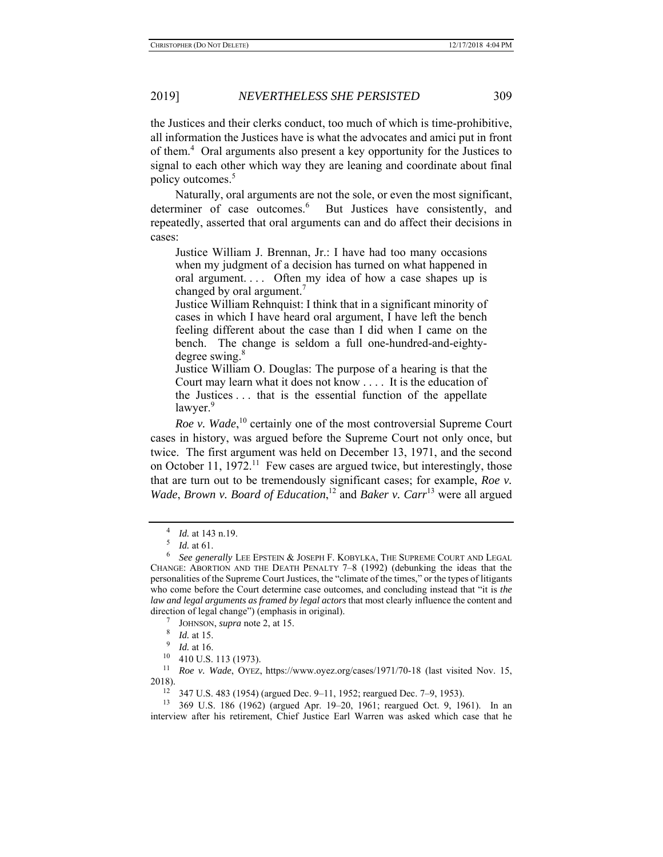the Justices and their clerks conduct, too much of which is time-prohibitive, all information the Justices have is what the advocates and amici put in front of them.<sup>4</sup> Oral arguments also present a key opportunity for the Justices to signal to each other which way they are leaning and coordinate about final policy outcomes.<sup>5</sup>

Naturally, oral arguments are not the sole, or even the most significant, determiner of case outcomes.<sup>6</sup> But Justices have consistently, and repeatedly, asserted that oral arguments can and do affect their decisions in cases:

Justice William J. Brennan, Jr.: I have had too many occasions when my judgment of a decision has turned on what happened in oral argument.... Often my idea of how a case shapes up is changed by oral argument.<sup>7</sup>

Justice William Rehnquist: I think that in a significant minority of cases in which I have heard oral argument, I have left the bench feeling different about the case than I did when I came on the bench. The change is seldom a full one-hundred-and-eightydegree swing.<sup>8</sup>

Justice William O. Douglas: The purpose of a hearing is that the Court may learn what it does not know . . . . It is the education of the Justices . . . that is the essential function of the appellate lawyer.<sup>9</sup>

*Roe v. Wade*, 10 certainly one of the most controversial Supreme Court cases in history, was argued before the Supreme Court not only once, but twice. The first argument was held on December 13, 1971, and the second on October 11,  $1972$ .<sup>11</sup> Few cases are argued twice, but interestingly, those that are turn out to be tremendously significant cases; for example, *Roe v. Wade*, *Brown v. Board of Education*,<sup>12</sup> and *Baker v. Carr*<sup>13</sup> were all argued

JOHNSON, *supra* note 2, at 15.

11 *Roe v. Wade*, OYEZ, https://www.oyez.org/cases/1971/70-18 (last visited Nov. 15, 2018). 12 347 U.S. 483 (1954) (argued Dec. 9–11, 1952; reargued Dec. 7–9, 1953).

13 369 U.S. 186 (1962) (argued Apr. 19–20, 1961; reargued Oct. 9, 1961). In an interview after his retirement, Chief Justice Earl Warren was asked which case that he

<sup>4</sup>  $\frac{4}{5}$  *Id.* at 143 n.19.

*Id.* at 61.

<sup>6</sup> *See generally* LEE EPSTEIN & JOSEPH F. KOBYLKA, THE SUPREME COURT AND LEGAL CHANGE: ABORTION AND THE DEATH PENALTY 7–8 (1992) (debunking the ideas that the personalities of the Supreme Court Justices, the "climate of the times," or the types of litigants who come before the Court determine case outcomes, and concluding instead that "it is *the law and legal arguments as framed by legal actors* that most clearly influence the content and direction of legal change") (emphasis in original).

<sup>8</sup> *Id.* at 15.

<sup>9</sup>  $\frac{9}{10}$  *Id.* at 16.

<sup>10 410</sup> U.S. 113 (1973).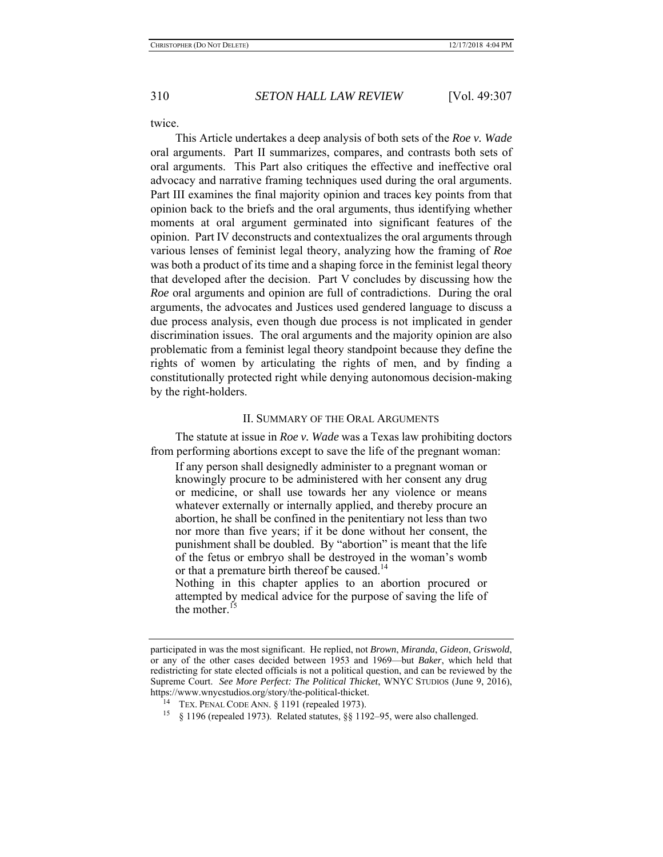twice.

This Article undertakes a deep analysis of both sets of the *Roe v. Wade* oral arguments. Part II summarizes, compares, and contrasts both sets of oral arguments. This Part also critiques the effective and ineffective oral advocacy and narrative framing techniques used during the oral arguments. Part III examines the final majority opinion and traces key points from that opinion back to the briefs and the oral arguments, thus identifying whether moments at oral argument germinated into significant features of the opinion. Part IV deconstructs and contextualizes the oral arguments through various lenses of feminist legal theory, analyzing how the framing of *Roe* was both a product of its time and a shaping force in the feminist legal theory that developed after the decision. Part V concludes by discussing how the *Roe* oral arguments and opinion are full of contradictions. During the oral arguments, the advocates and Justices used gendered language to discuss a due process analysis, even though due process is not implicated in gender discrimination issues. The oral arguments and the majority opinion are also problematic from a feminist legal theory standpoint because they define the rights of women by articulating the rights of men, and by finding a constitutionally protected right while denying autonomous decision-making by the right-holders.

### II. SUMMARY OF THE ORAL ARGUMENTS

The statute at issue in *Roe v. Wade* was a Texas law prohibiting doctors from performing abortions except to save the life of the pregnant woman:

If any person shall designedly administer to a pregnant woman or knowingly procure to be administered with her consent any drug or medicine, or shall use towards her any violence or means whatever externally or internally applied, and thereby procure an abortion, he shall be confined in the penitentiary not less than two nor more than five years; if it be done without her consent, the punishment shall be doubled. By "abortion" is meant that the life of the fetus or embryo shall be destroyed in the woman's womb or that a premature birth thereof be caused.<sup>14</sup>

Nothing in this chapter applies to an abortion procured or attempted by medical advice for the purpose of saving the life of the mother.<sup>15</sup>

participated in was the most significant. He replied, not *Brown*, *Miranda*, *Gideon*, *Griswold*, or any of the other cases decided between 1953 and 1969—but *Baker*, which held that redistricting for state elected officials is not a political question, and can be reviewed by the Supreme Court. *See More Perfect: The Political Thicket*, WNYC STUDIOS (June 9, 2016), https://www.wnycstudios.org/story/the-political-thicket.

 $14$  TEX. PENAL CODE ANN. § 1191 (repealed 1973).

<sup>15 § 1196 (</sup>repealed 1973). Related statutes, §§ 1192–95, were also challenged.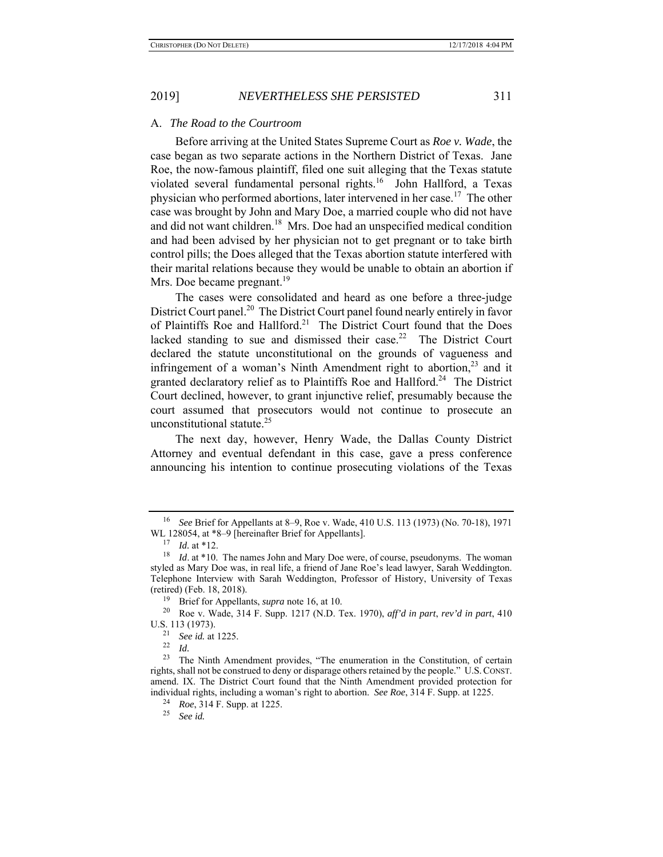### A. *The Road to the Courtroom*

Before arriving at the United States Supreme Court as *Roe v. Wade*, the case began as two separate actions in the Northern District of Texas. Jane Roe, the now-famous plaintiff, filed one suit alleging that the Texas statute violated several fundamental personal rights.<sup>16</sup> John Hallford, a Texas physician who performed abortions, later intervened in her case. 17 The other case was brought by John and Mary Doe, a married couple who did not have and did not want children.<sup>18</sup> Mrs. Doe had an unspecified medical condition and had been advised by her physician not to get pregnant or to take birth control pills; the Does alleged that the Texas abortion statute interfered with their marital relations because they would be unable to obtain an abortion if Mrs. Doe became pregnant.<sup>19</sup>

The cases were consolidated and heard as one before a three-judge District Court panel.<sup>20</sup> The District Court panel found nearly entirely in favor of Plaintiffs Roe and Hallford.<sup>21</sup> The District Court found that the Does lacked standing to sue and dismissed their case.<sup>22</sup> The District Court declared the statute unconstitutional on the grounds of vagueness and infringement of a woman's Ninth Amendment right to abortion, $^{23}$  and it granted declaratory relief as to Plaintiffs Roe and Hallford.<sup>24</sup> The District Court declined, however, to grant injunctive relief, presumably because the court assumed that prosecutors would not continue to prosecute an unconstitutional statute.<sup>25</sup>

The next day, however, Henry Wade, the Dallas County District Attorney and eventual defendant in this case, gave a press conference announcing his intention to continue prosecuting violations of the Texas

19 Brief for Appellants, *supra* note 16, at 10.

<sup>16</sup> *See* Brief for Appellants at 8–9, Roe v. Wade, 410 U.S. 113 (1973) (No. 70-18), 1971 WL 128054, at \*8–9 [hereinafter Brief for Appellants].

<sup>17</sup> *Id.* at \*12.

<sup>18</sup> *Id*. at \*10. The names John and Mary Doe were, of course, pseudonyms. The woman styled as Mary Doe was, in real life, a friend of Jane Roe's lead lawyer, Sarah Weddington. Telephone Interview with Sarah Weddington, Professor of History, University of Texas (retired) (Feb. 18, 2018).

<sup>20</sup> Roe v. Wade, 314 F. Supp. 1217 (N.D. Tex. 1970), *aff'd in part*, *rev'd in part*, 410 U.S. 113 (1973). 21 *See id.* at 1225. 22 *Id.*

<sup>&</sup>lt;sup>23</sup> The Ninth Amendment provides, "The enumeration in the Constitution, of certain rights, shall not be construed to deny or disparage others retained by the people." U.S.CONST. amend. IX. The District Court found that the Ninth Amendment provided protection for individual rights, including a woman's right to abortion. *See Roe*, 314 F. Supp. at 1225. 24 *Roe*, 314 F. Supp. at 1225.

<sup>25</sup> *See id.*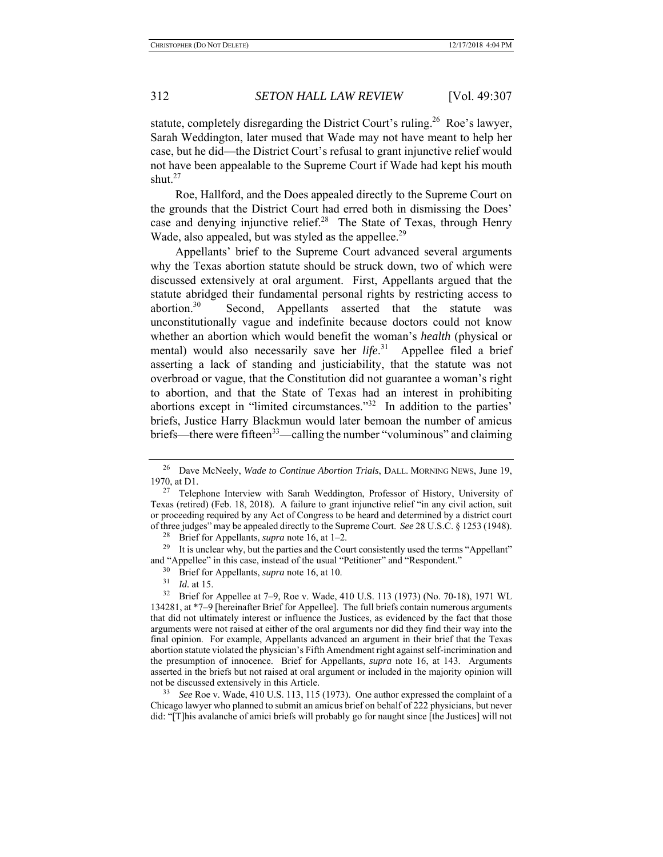statute, completely disregarding the District Court's ruling.<sup>26</sup> Roe's lawyer, Sarah Weddington, later mused that Wade may not have meant to help her case, but he did—the District Court's refusal to grant injunctive relief would not have been appealable to the Supreme Court if Wade had kept his mouth shut. $27$ 

Roe, Hallford, and the Does appealed directly to the Supreme Court on the grounds that the District Court had erred both in dismissing the Does' case and denying injunctive relief.<sup>28</sup> The State of Texas, through Henry Wade, also appealed, but was styled as the appellee.<sup>29</sup>

Appellants' brief to the Supreme Court advanced several arguments why the Texas abortion statute should be struck down, two of which were discussed extensively at oral argument. First, Appellants argued that the statute abridged their fundamental personal rights by restricting access to abortion.<sup>30</sup> Second, Appellants asserted that the statute was unconstitutionally vague and indefinite because doctors could not know whether an abortion which would benefit the woman's *health* (physical or mental) would also necessarily save her *life*. 31 Appellee filed a brief asserting a lack of standing and justiciability, that the statute was not overbroad or vague, that the Constitution did not guarantee a woman's right to abortion, and that the State of Texas had an interest in prohibiting abortions except in "limited circumstances."32 In addition to the parties' briefs, Justice Harry Blackmun would later bemoan the number of amicus briefs—there were fifteen<sup>33</sup>—calling the number "voluminous" and claiming

28 Brief for Appellants, *supra* note 16, at 1–2.

<sup>29</sup> It is unclear why, but the parties and the Court consistently used the terms "Appellant" and "Appellee" in this case, instead of the usual "Petitioner" and "Respondent."

<sup>30</sup> Brief for Appellants, *supra* note 16, at 10.<br><sup>31</sup> *Id at* 15

 $\frac{31}{32}$  *Id.* at 15.

See Roe v. Wade, 410 U.S. 113, 115 (1973). One author expressed the complaint of a Chicago lawyer who planned to submit an amicus brief on behalf of 222 physicians, but never did: "[T]his avalanche of amici briefs will probably go for naught since [the Justices] will not

<sup>26</sup> Dave McNeely, *Wade to Continue Abortion Trials*, DALL. MORNING NEWS, June 19, 1970, at D1.

<sup>&</sup>lt;sup>27</sup> Telephone Interview with Sarah Weddington, Professor of History, University of Texas (retired) (Feb. 18, 2018). A failure to grant injunctive relief "in any civil action, suit or proceeding required by any Act of Congress to be heard and determined by a district court of three judges" may be appealed directly to the Supreme Court. *See* 28 U.S.C. § 1253 (1948).

Brief for Appellee at 7–9, Roe v. Wade, 410 U.S. 113 (1973) (No. 70-18), 1971 WL 134281, at \*7–9 [hereinafter Brief for Appellee]. The full briefs contain numerous arguments that did not ultimately interest or influence the Justices, as evidenced by the fact that those arguments were not raised at either of the oral arguments nor did they find their way into the final opinion. For example, Appellants advanced an argument in their brief that the Texas abortion statute violated the physician's Fifth Amendment right against self-incrimination and the presumption of innocence. Brief for Appellants, *supra* note 16, at 143. Arguments asserted in the briefs but not raised at oral argument or included in the majority opinion will not be discussed extensively in this Article.<br> $\frac{33}{2}$  See Booy, Wede, 410 U.S. 112, 115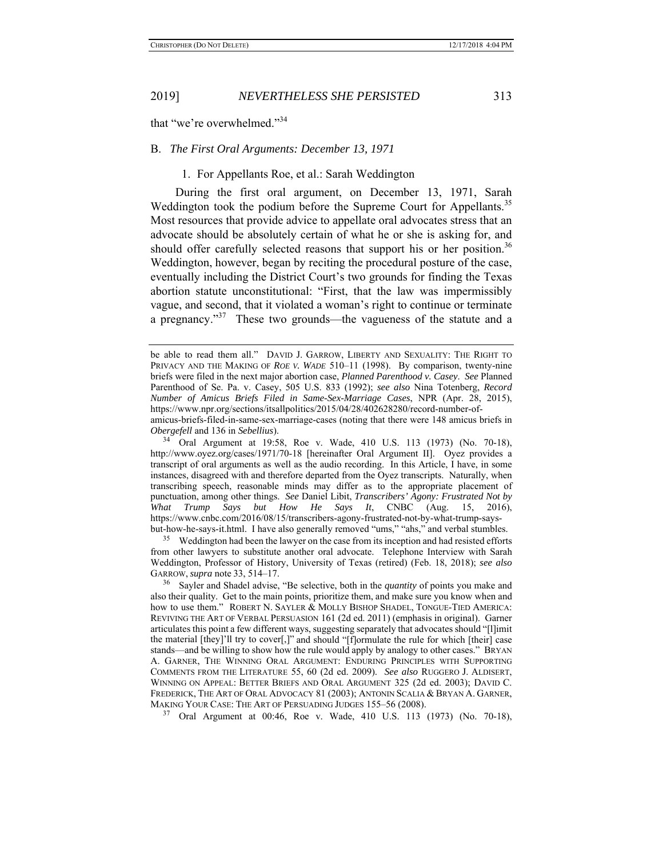that "we're overwhelmed."34

### B. *The First Oral Arguments: December 13, 1971*

### 1. For Appellants Roe, et al.: Sarah Weddington

During the first oral argument, on December 13, 1971, Sarah Weddington took the podium before the Supreme Court for Appellants.<sup>35</sup> Most resources that provide advice to appellate oral advocates stress that an advocate should be absolutely certain of what he or she is asking for, and should offer carefully selected reasons that support his or her position.<sup>36</sup> Weddington, however, began by reciting the procedural posture of the case, eventually including the District Court's two grounds for finding the Texas abortion statute unconstitutional: "First, that the law was impermissibly vague, and second, that it violated a woman's right to continue or terminate a pregnancy."<sup>37</sup> These two grounds—the vagueness of the statute and a

34 Oral Argument at 19:58, Roe v. Wade, 410 U.S. 113 (1973) (No. 70-18), http://www.oyez.org/cases/1971/70-18 [hereinafter Oral Argument II]. Oyez provides a transcript of oral arguments as well as the audio recording. In this Article, I have, in some instances, disagreed with and therefore departed from the Oyez transcripts. Naturally, when transcribing speech, reasonable minds may differ as to the appropriate placement of punctuation, among other things. *See* Daniel Libit, *Transcribers' Agony: Frustrated Not by What Trump Says but How He Says It*, CNBC (Aug. 15, 2016), https://www.cnbc.com/2016/08/15/transcribers-agony-frustrated-not-by-what-trump-saysbut-how-he-says-it.html. I have also generally removed "ums," "ahs," and verbal stumbles.

<sup>35</sup> Weddington had been the lawyer on the case from its inception and had resisted efforts from other lawyers to substitute another oral advocate. Telephone Interview with Sarah Weddington, Professor of History, University of Texas (retired) (Feb. 18, 2018); *see also* GARROW, *supra* note 33, 514–17.

37 Oral Argument at 00:46, Roe v. Wade, 410 U.S. 113 (1973) (No. 70-18),

be able to read them all." DAVID J. GARROW, LIBERTY AND SEXUALITY: THE RIGHT TO PRIVACY AND THE MAKING OF *ROE V. WADE* 510–11 (1998). By comparison, twenty-nine briefs were filed in the next major abortion case, *Planned Parenthood v. Casey*. *See* Planned Parenthood of Se. Pa. v. Casey, 505 U.S. 833 (1992); *see also* Nina Totenberg, *Record Number of Amicus Briefs Filed in Same-Sex-Marriage Cases*, NPR (Apr. 28, 2015), https://www.npr.org/sections/itsallpolitics/2015/04/28/402628280/record-number-of-

amicus-briefs-filed-in-same-sex-marriage-cases (noting that there were 148 amicus briefs in *Obergefell* and 136 in *Sebellius*).

<sup>36</sup> Sayler and Shadel advise, "Be selective, both in the *quantity* of points you make and also their quality. Get to the main points, prioritize them, and make sure you know when and how to use them." ROBERT N. SAYLER & MOLLY BISHOP SHADEL, TONGUE-TIED AMERICA: REVIVING THE ART OF VERBAL PERSUASION 161 (2d ed. 2011) (emphasis in original). Garner articulates this point a few different ways, suggesting separately that advocates should "[l]imit the material [they]'ll try to cover[,]" and should "[f]ormulate the rule for which [their] case stands—and be willing to show how the rule would apply by analogy to other cases." BRYAN A. GARNER, THE WINNING ORAL ARGUMENT: ENDURING PRINCIPLES WITH SUPPORTING COMMENTS FROM THE LITERATURE 55, 60 (2d ed. 2009). *See also* RUGGERO J. ALDISERT, WINNING ON APPEAL: BETTER BRIEFS AND ORAL ARGUMENT 325 (2d ed. 2003); DAVID C. FREDERICK, THE ART OF ORAL ADVOCACY 81 (2003); ANTONIN SCALIA & BRYAN A. GARNER, MAKING YOUR CASE: THE ART OF PERSUADING JUDGES 155–56 (2008).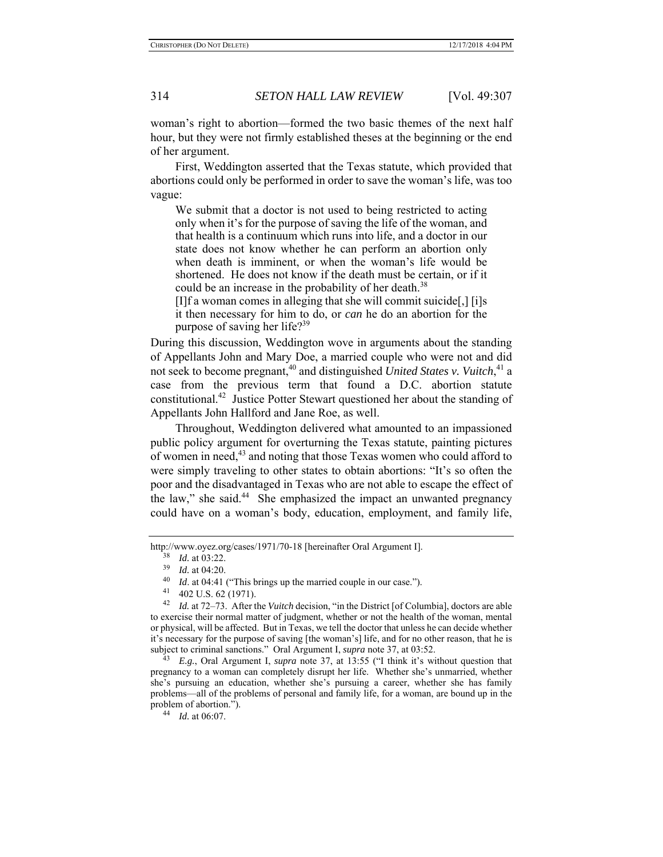woman's right to abortion—formed the two basic themes of the next half hour, but they were not firmly established theses at the beginning or the end of her argument.

First, Weddington asserted that the Texas statute, which provided that abortions could only be performed in order to save the woman's life, was too vague:

We submit that a doctor is not used to being restricted to acting only when it's for the purpose of saving the life of the woman, and that health is a continuum which runs into life, and a doctor in our state does not know whether he can perform an abortion only when death is imminent, or when the woman's life would be shortened. He does not know if the death must be certain, or if it could be an increase in the probability of her death.<sup>38</sup>

[I]f a woman comes in alleging that she will commit suicide[,] [i]s it then necessary for him to do, or *can* he do an abortion for the purpose of saving her life?<sup>39</sup>

During this discussion, Weddington wove in arguments about the standing of Appellants John and Mary Doe, a married couple who were not and did not seek to become pregnant,<sup>40</sup> and distinguished *United States v. Vuitch*,<sup>41</sup> a case from the previous term that found a D.C. abortion statute constitutional.42 Justice Potter Stewart questioned her about the standing of Appellants John Hallford and Jane Roe, as well.

Throughout, Weddington delivered what amounted to an impassioned public policy argument for overturning the Texas statute, painting pictures of women in need,<sup>43</sup> and noting that those Texas women who could afford to were simply traveling to other states to obtain abortions: "It's so often the poor and the disadvantaged in Texas who are not able to escape the effect of the law," she said. $44$  She emphasized the impact an unwanted pregnancy could have on a woman's body, education, employment, and family life,

http://www.oyez.org/cases/1971/70-18 [hereinafter Oral Argument I].

<sup>38</sup> *Id.* at 03:22.

<sup>39</sup> *Id.* at 04:20.

<sup>40</sup>*Id.* at 04:41 ("This brings up the married couple in our case.").<br><sup>41</sup> 402 U.S. 62 (1971).

<sup>42</sup> *Id.* at 72–73. After the *Vuitch* decision, "in the District [of Columbia], doctors are able to exercise their normal matter of judgment, whether or not the health of the woman, mental or physical, will be affected. But in Texas, we tell the doctor that unless he can decide whether it's necessary for the purpose of saving [the woman's] life, and for no other reason, that he is subject to criminal sanctions." Oral Argument I, *supra* note 37, at 03:52.

<sup>43</sup> *E.g.*, Oral Argument I, *supra* note 37, at 13:55 ("I think it's without question that pregnancy to a woman can completely disrupt her life. Whether she's unmarried, whether she's pursuing an education, whether she's pursuing a career, whether she has family problems—all of the problems of personal and family life, for a woman, are bound up in the problem of abortion."). 44 *Id.* at 06:07.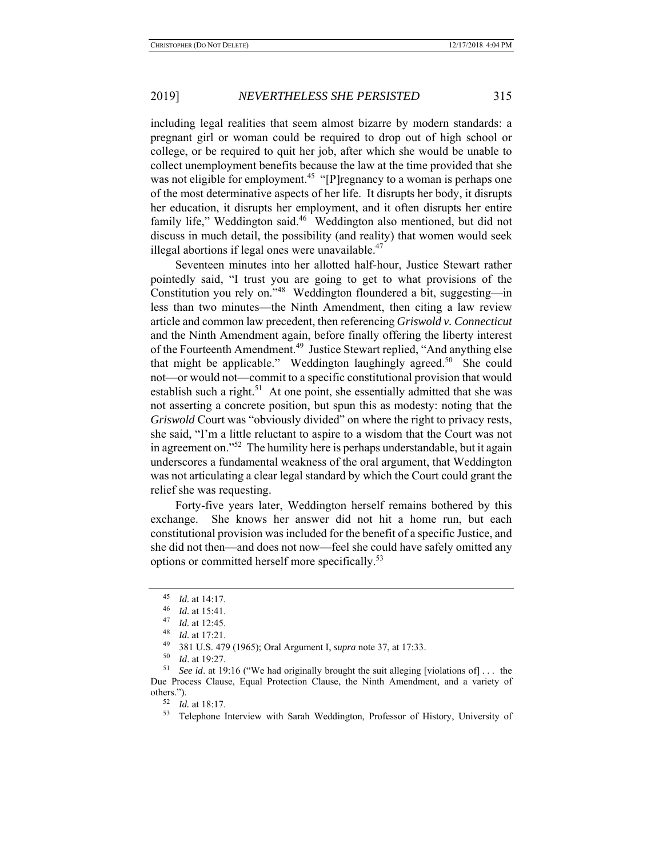including legal realities that seem almost bizarre by modern standards: a pregnant girl or woman could be required to drop out of high school or college, or be required to quit her job, after which she would be unable to collect unemployment benefits because the law at the time provided that she was not eligible for employment.<sup>45</sup> "[P]regnancy to a woman is perhaps one of the most determinative aspects of her life. It disrupts her body, it disrupts her education, it disrupts her employment, and it often disrupts her entire family life," Weddington said.<sup>46</sup> Weddington also mentioned, but did not discuss in much detail, the possibility (and reality) that women would seek illegal abortions if legal ones were unavailable. $47$ 

Seventeen minutes into her allotted half-hour, Justice Stewart rather pointedly said, "I trust you are going to get to what provisions of the Constitution you rely on."48 Weddington floundered a bit, suggesting—in less than two minutes—the Ninth Amendment, then citing a law review article and common law precedent, then referencing *Griswold v. Connecticut* and the Ninth Amendment again, before finally offering the liberty interest of the Fourteenth Amendment.<sup>49</sup> Justice Stewart replied, "And anything else that might be applicable." Weddington laughingly agreed.<sup>50</sup> She could not—or would not—commit to a specific constitutional provision that would establish such a right.<sup>51</sup> At one point, she essentially admitted that she was not asserting a concrete position, but spun this as modesty: noting that the *Griswold* Court was "obviously divided" on where the right to privacy rests, she said, "I'm a little reluctant to aspire to a wisdom that the Court was not in agreement on."<sup>52</sup> The humility here is perhaps understandable, but it again underscores a fundamental weakness of the oral argument, that Weddington was not articulating a clear legal standard by which the Court could grant the relief she was requesting.

Forty-five years later, Weddington herself remains bothered by this exchange. She knows her answer did not hit a home run, but each constitutional provision was included for the benefit of a specific Justice, and she did not then—and does not now—feel she could have safely omitted any options or committed herself more specifically.<sup>53</sup>

 $\frac{45}{46}$  *Id.* at 14:17.

 $\frac{46}{47}$  *Id.* at 15:41.

 $\frac{47}{48}$  *Id.* at 12:45.

*Id.* at 17:21.

<sup>49 381</sup> U.S. 479 (1965); Oral Argument I, *supra* note 37, at 17:33.

*Id.* at 19:27.

<sup>51</sup> *See id*. at 19:16 ("We had originally brought the suit alleging [violations of] . . . the Due Process Clause, Equal Protection Clause, the Ninth Amendment, and a variety of others.").

 $^{52}$  *Id.* at 18:17.<br> $^{53}$  Telephone

<sup>53</sup> Telephone Interview with Sarah Weddington, Professor of History, University of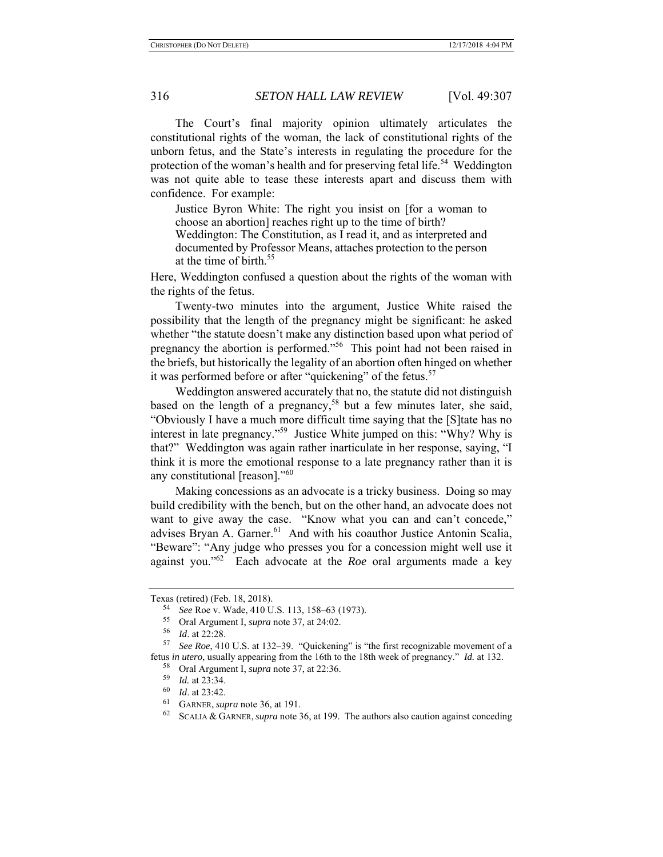The Court's final majority opinion ultimately articulates the constitutional rights of the woman, the lack of constitutional rights of the unborn fetus, and the State's interests in regulating the procedure for the protection of the woman's health and for preserving fetal life.<sup>54</sup> Weddington was not quite able to tease these interests apart and discuss them with confidence. For example:

Justice Byron White: The right you insist on [for a woman to choose an abortion] reaches right up to the time of birth? Weddington: The Constitution, as I read it, and as interpreted and documented by Professor Means, attaches protection to the person at the time of birth.<sup>55</sup>

Here, Weddington confused a question about the rights of the woman with the rights of the fetus.

Twenty-two minutes into the argument, Justice White raised the possibility that the length of the pregnancy might be significant: he asked whether "the statute doesn't make any distinction based upon what period of pregnancy the abortion is performed."56 This point had not been raised in the briefs, but historically the legality of an abortion often hinged on whether it was performed before or after "quickening" of the fetus.<sup>57</sup>

Weddington answered accurately that no, the statute did not distinguish based on the length of a pregnancy,<sup>58</sup> but a few minutes later, she said, "Obviously I have a much more difficult time saying that the [S]tate has no interest in late pregnancy."59 Justice White jumped on this: "Why? Why is that?" Weddington was again rather inarticulate in her response, saying, "I think it is more the emotional response to a late pregnancy rather than it is any constitutional [reason]."60

Making concessions as an advocate is a tricky business. Doing so may build credibility with the bench, but on the other hand, an advocate does not want to give away the case. "Know what you can and can't concede," advises Bryan A. Garner.<sup>61</sup> And with his coauthor Justice Antonin Scalia, "Beware": "Any judge who presses you for a concession might well use it against you."62 Each advocate at the *Roe* oral arguments made a key

Texas (retired) (Feb. 18, 2018).

<sup>54</sup>*See* Roe v. Wade, 410 U.S. 113, 158–63 (1973). 55 Oral Argument I, *supra* note 37, at 24:02.

<sup>&</sup>lt;sup>57</sup> *See Roe*, 410 U.S. at 132–39. "Quickening" is "the first recognizable movement of a fetus *in utero*, usually appearing from the 16th to the 18th week of pregnancy." *Id.* at 132.

<sup>&</sup>lt;sup>58</sup> Oral Argument I, *supra* note 37, at 22:36.

*Id.* at 23:34.

 $\frac{60}{61}$  *Id.* at 23:42.

GARNER, *supra* note 36, at 191.

<sup>62</sup> SCALIA & GARNER,*supra* note 36, at 199. The authors also caution against conceding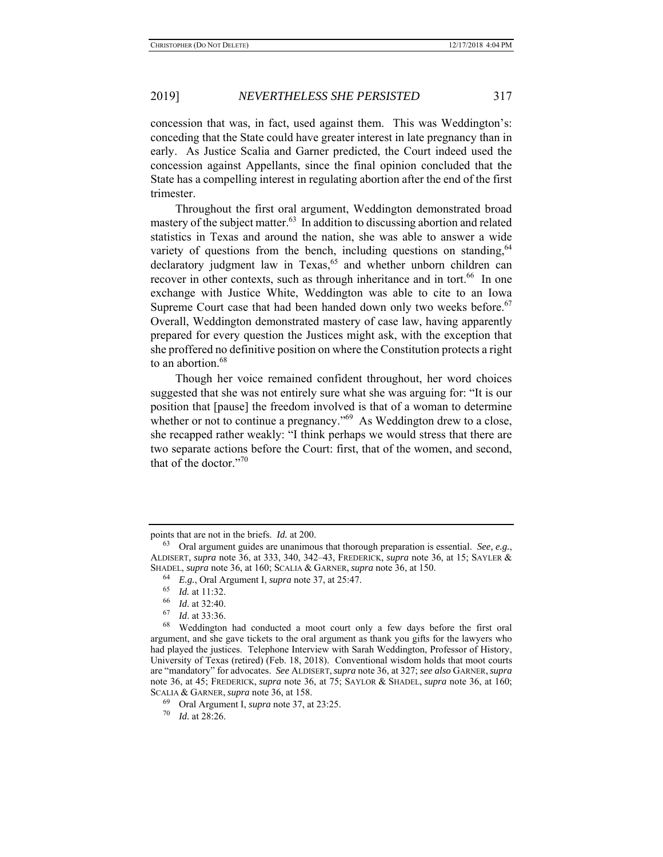concession that was, in fact, used against them. This was Weddington's: conceding that the State could have greater interest in late pregnancy than in early. As Justice Scalia and Garner predicted, the Court indeed used the concession against Appellants, since the final opinion concluded that the State has a compelling interest in regulating abortion after the end of the first trimester.

Throughout the first oral argument, Weddington demonstrated broad mastery of the subject matter. $63$  In addition to discussing abortion and related statistics in Texas and around the nation, she was able to answer a wide variety of questions from the bench, including questions on standing,  $64$  $\alpha$  declaratory judgment law in Texas,<sup>65</sup> and whether unborn children can recover in other contexts, such as through inheritance and in tort.<sup>66</sup> In one exchange with Justice White, Weddington was able to cite to an Iowa Supreme Court case that had been handed down only two weeks before.<sup>67</sup> Overall, Weddington demonstrated mastery of case law, having apparently prepared for every question the Justices might ask, with the exception that she proffered no definitive position on where the Constitution protects a right to an abortion.<sup>68</sup>

Though her voice remained confident throughout, her word choices suggested that she was not entirely sure what she was arguing for: "It is our position that [pause] the freedom involved is that of a woman to determine whether or not to continue a pregnancy."<sup>69</sup> As Weddington drew to a close, she recapped rather weakly: "I think perhaps we would stress that there are two separate actions before the Court: first, that of the women, and second, that of the doctor."<sup>70</sup>

points that are not in the briefs. *Id.* at 200.

<sup>63</sup> Oral argument guides are unanimous that thorough preparation is essential. *See, e.g.*, ALDISERT, *supra* note 36, at 333, 340, 342–43, FREDERICK, *supra* note 36, at 15; SAYLER & SHADEL, *supra* note 36, at 160; SCALIA & GARNER, *supra* note 36, at 150.

<sup>64</sup> *E.g.*, Oral Argument I, *supra* note 37, at 25:47.

 $\frac{65}{66}$  *Id.* at 11:32.

 $\frac{66}{67}$  *Id.* at 32:40.

*Id.* at 33:36.

<sup>68</sup> Weddington had conducted a moot court only a few days before the first oral argument, and she gave tickets to the oral argument as thank you gifts for the lawyers who had played the justices. Telephone Interview with Sarah Weddington, Professor of History, University of Texas (retired) (Feb. 18, 2018). Conventional wisdom holds that moot courts are "mandatory" for advocates. *See* ALDISERT,*supra* note 36, at 327; *see also* GARNER,*supra* note 36, at 45; FREDERICK, *supra* note 36, at 75; SAYLOR & SHADEL, *supra* note 36, at 160; SCALIA & GARNER, *supra* note 36, at 158.

<sup>69</sup> Oral Argument I, *supra* note 37, at 23:25.

<sup>70</sup> *Id.* at 28:26.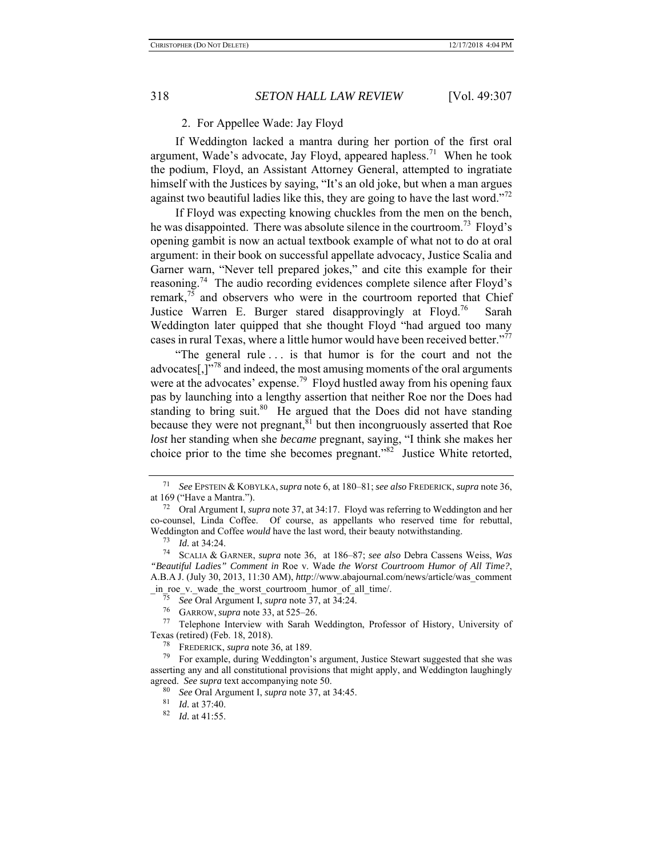## 2. For Appellee Wade: Jay Floyd

If Weddington lacked a mantra during her portion of the first oral argument, Wade's advocate, Jay Floyd, appeared hapless.<sup>71</sup> When he took the podium, Floyd, an Assistant Attorney General, attempted to ingratiate himself with the Justices by saying, "It's an old joke, but when a man argues against two beautiful ladies like this, they are going to have the last word."<sup>72</sup>

If Floyd was expecting knowing chuckles from the men on the bench, he was disappointed. There was absolute silence in the courtroom.<sup>73</sup> Floyd's opening gambit is now an actual textbook example of what not to do at oral argument: in their book on successful appellate advocacy, Justice Scalia and Garner warn, "Never tell prepared jokes," and cite this example for their reasoning.<sup>74</sup> The audio recording evidences complete silence after Floyd's remark,<sup>75</sup> and observers who were in the courtroom reported that Chief Justice Warren E. Burger stared disapprovingly at Floyd.<sup>76</sup> Sarah Weddington later quipped that she thought Floyd "had argued too many cases in rural Texas, where a little humor would have been received better."<sup>77</sup>

"The general rule . . . is that humor is for the court and not the advocates[ $,$ ]<sup>"78</sup> and indeed, the most amusing moments of the oral arguments were at the advocates' expense.<sup>79</sup> Floyd hustled away from his opening faux pas by launching into a lengthy assertion that neither Roe nor the Does had standing to bring suit.<sup>80</sup> He argued that the Does did not have standing because they were not pregnant, $81$  but then incongruously asserted that Roe *lost* her standing when she *became* pregnant, saying, "I think she makes her choice prior to the time she becomes pregnant."82 Justice White retorted,

\_in\_roe\_v.\_wade\_the\_worst\_courtroom\_humor\_of\_all\_time/. 75 *See* Oral Argument I, *supra* note 37, at 34:24.

<sup>71</sup> *See* EPSTEIN & KOBYLKA,*supra* note 6, at 180–81; *see also* FREDERICK, *supra* note 36, at 169 ("Have a Mantra.").

<sup>72</sup> Oral Argument I, *supra* note 37, at 34:17. Floyd was referring to Weddington and her co-counsel, Linda Coffee. Of course, as appellants who reserved time for rebuttal, Weddington and Coffee *would* have the last word, their beauty notwithstanding.

 $^{73}$  *Id.* at 34:24.

<sup>74</sup> SCALIA & GARNER, *supra* note 36, at 186–87; *see also* Debra Cassens Weiss, *Was "Beautiful Ladies" Comment in* Roe v. Wade *the Worst Courtroom Humor of All Time?*, A.B.A J. (July 30, 2013, 11:30 AM), *http*://www.abajournal.com/news/article/was\_comment

<sup>76</sup> GARROW, *supra* note 33, at 525–26. 77 Telephone Interview with Sarah Weddington, Professor of History, University of Texas (retired) (Feb. 18, 2018).

<sup>78</sup> FREDERICK, *supra* note 36, at 189.

<sup>79</sup> For example, during Weddington's argument, Justice Stewart suggested that she was asserting any and all constitutional provisions that might apply, and Weddington laughingly agreed. *See supra* text accompanying note 50.

<sup>80</sup> *See* Oral Argument I, *supra* note 37, at 34:45.

 $\frac{81}{82}$  *Id.* at 37:40.

*Id.* at 41:55.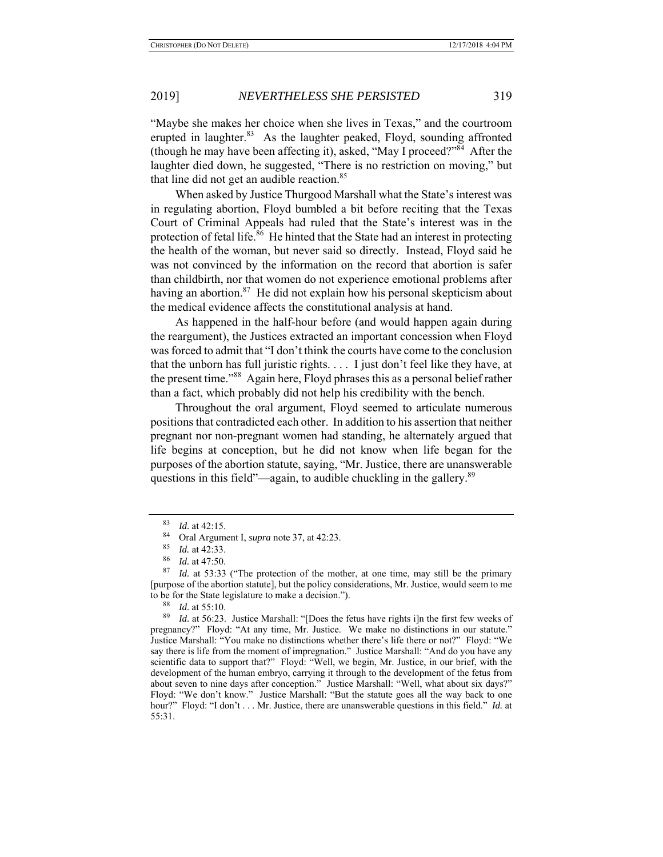"Maybe she makes her choice when she lives in Texas," and the courtroom erupted in laughter.<sup>83</sup> As the laughter peaked, Floyd, sounding affronted (though he may have been affecting it), asked, "May I proceed?" After the laughter died down, he suggested, "There is no restriction on moving," but that line did not get an audible reaction.<sup>85</sup>

When asked by Justice Thurgood Marshall what the State's interest was in regulating abortion, Floyd bumbled a bit before reciting that the Texas Court of Criminal Appeals had ruled that the State's interest was in the protection of fetal life.<sup>86</sup> He hinted that the State had an interest in protecting the health of the woman, but never said so directly. Instead, Floyd said he was not convinced by the information on the record that abortion is safer than childbirth, nor that women do not experience emotional problems after having an abortion.<sup>87</sup> He did not explain how his personal skepticism about the medical evidence affects the constitutional analysis at hand.

As happened in the half-hour before (and would happen again during the reargument), the Justices extracted an important concession when Floyd was forced to admit that "I don't think the courts have come to the conclusion that the unborn has full juristic rights. . . . I just don't feel like they have, at the present time."88 Again here, Floyd phrases this as a personal belief rather than a fact, which probably did not help his credibility with the bench.

Throughout the oral argument, Floyd seemed to articulate numerous positions that contradicted each other. In addition to his assertion that neither pregnant nor non-pregnant women had standing, he alternately argued that life begins at conception, but he did not know when life began for the purposes of the abortion statute, saying, "Mr. Justice, there are unanswerable questions in this field"—again, to audible chuckling in the gallery.<sup>89</sup>

 $\frac{83}{84}$  *Id.* at 42:15.

Oral Argument I, *supra* note 37, at 42:23.

<sup>85</sup> *Id.* at 42:33.

*Id.* at 47:50.

<sup>87</sup> *Id.* at 53:33 ("The protection of the mother, at one time, may still be the primary [purpose of the abortion statute], but the policy considerations, Mr. Justice, would seem to me to be for the State legislature to make a decision.").

 $\frac{88}{89}$  *Id.* at 55:10.

Id. at 56:23. Justice Marshall: "[Does the fetus have rights i]n the first few weeks of pregnancy?" Floyd: "At any time, Mr. Justice. We make no distinctions in our statute." Justice Marshall: "You make no distinctions whether there's life there or not?" Floyd: "We say there is life from the moment of impregnation." Justice Marshall: "And do you have any scientific data to support that?" Floyd: "Well, we begin, Mr. Justice, in our brief, with the development of the human embryo, carrying it through to the development of the fetus from about seven to nine days after conception." Justice Marshall: "Well, what about six days?" Floyd: "We don't know." Justice Marshall: "But the statute goes all the way back to one hour?" Floyd: "I don't . . . Mr. Justice, there are unanswerable questions in this field." *Id.* at 55:31.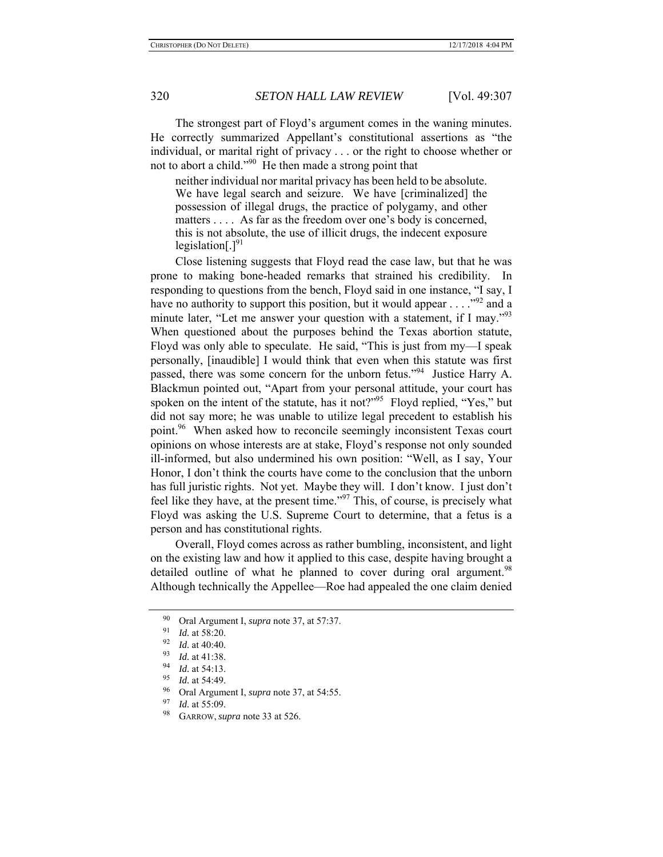The strongest part of Floyd's argument comes in the waning minutes. He correctly summarized Appellant's constitutional assertions as "the individual, or marital right of privacy . . . or the right to choose whether or not to abort a child."<sup>90</sup> He then made a strong point that

neither individual nor marital privacy has been held to be absolute. We have legal search and seizure. We have [criminalized] the possession of illegal drugs, the practice of polygamy, and other matters . . . . As far as the freedom over one's body is concerned, this is not absolute, the use of illicit drugs, the indecent exposure legislation $[.]^{91}$ 

Close listening suggests that Floyd read the case law, but that he was prone to making bone-headed remarks that strained his credibility. In responding to questions from the bench, Floyd said in one instance, "I say, I have no authority to support this position, but it would appear  $\dots$  ."<sup>92</sup> and a minute later, "Let me answer your question with a statement, if I may."<sup>93</sup> When questioned about the purposes behind the Texas abortion statute, Floyd was only able to speculate. He said, "This is just from my—I speak personally, [inaudible] I would think that even when this statute was first passed, there was some concern for the unborn fetus."<sup>94</sup> Justice Harry A. Blackmun pointed out, "Apart from your personal attitude, your court has spoken on the intent of the statute, has it not?"<sup>95</sup> Floyd replied, "Yes," but did not say more; he was unable to utilize legal precedent to establish his point.<sup>96</sup> When asked how to reconcile seemingly inconsistent Texas court opinions on whose interests are at stake, Floyd's response not only sounded ill-informed, but also undermined his own position: "Well, as I say, Your Honor, I don't think the courts have come to the conclusion that the unborn has full juristic rights. Not yet. Maybe they will. I don't know. I just don't feel like they have, at the present time."97 This, of course, is precisely what Floyd was asking the U.S. Supreme Court to determine, that a fetus is a person and has constitutional rights.

Overall, Floyd comes across as rather bumbling, inconsistent, and light on the existing law and how it applied to this case, despite having brought a detailed outline of what he planned to cover during oral argument.<sup>98</sup> Although technically the Appellee—Roe had appealed the one claim denied

<sup>&</sup>lt;sup>90</sup> Oral Argument I, *supra* note 37, at 57:37.

 $\frac{91}{92}$  *Id.* at 58:20.

 $\frac{92}{93}$  *Id.* at 40:40.

*Id.* at 41:38.

 $\frac{94}{95}$  *Id.* at 54:13.

*Id.* at 54:49.

<sup>&</sup>lt;sup>96</sup> Oral Argument I, *supra* note 37, at 54:55.

*Id.* at 55:09.

GARROW, *supra* note 33 at 526.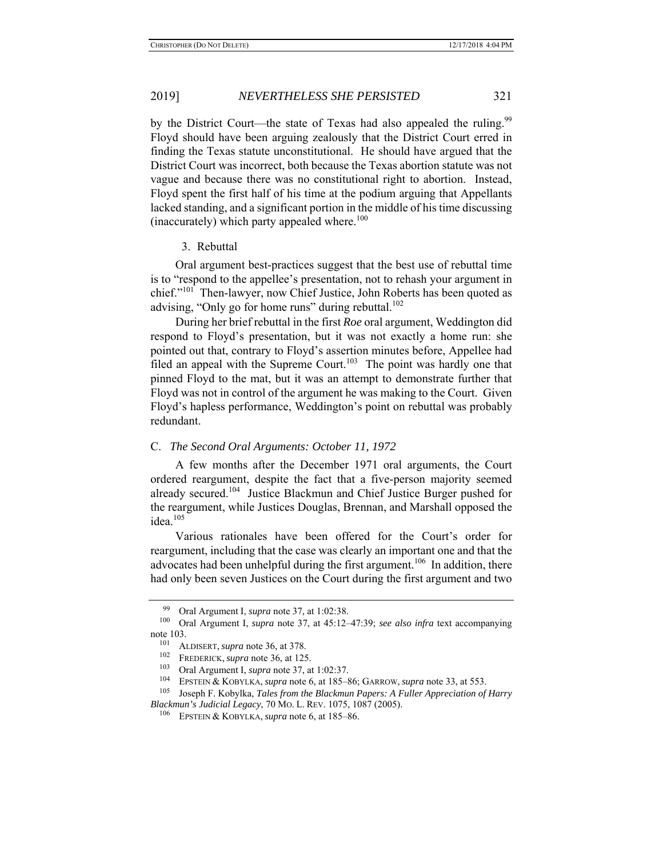by the District Court—the state of Texas had also appealed the ruling.<sup>99</sup> Floyd should have been arguing zealously that the District Court erred in finding the Texas statute unconstitutional. He should have argued that the District Court was incorrect, both because the Texas abortion statute was not vague and because there was no constitutional right to abortion. Instead, Floyd spent the first half of his time at the podium arguing that Appellants lacked standing, and a significant portion in the middle of his time discussing (inaccurately) which party appealed where.<sup>100</sup>

### 3. Rebuttal

Oral argument best-practices suggest that the best use of rebuttal time is to "respond to the appellee's presentation, not to rehash your argument in chief."<sup>101</sup> Then-lawyer, now Chief Justice, John Roberts has been quoted as advising, "Only go for home runs" during rebuttal. $102$ 

During her brief rebuttal in the first *Roe* oral argument, Weddington did respond to Floyd's presentation, but it was not exactly a home run: she pointed out that, contrary to Floyd's assertion minutes before, Appellee had filed an appeal with the Supreme Court.<sup>103</sup> The point was hardly one that pinned Floyd to the mat, but it was an attempt to demonstrate further that Floyd was not in control of the argument he was making to the Court. Given Floyd's hapless performance, Weddington's point on rebuttal was probably redundant.

### C. *The Second Oral Arguments: October 11, 1972*

A few months after the December 1971 oral arguments, the Court ordered reargument, despite the fact that a five-person majority seemed already secured.<sup>104</sup> Justice Blackmun and Chief Justice Burger pushed for the reargument, while Justices Douglas, Brennan, and Marshall opposed the idea.<sup>105</sup>

Various rationales have been offered for the Court's order for reargument, including that the case was clearly an important one and that the advocates had been unhelpful during the first argument.<sup>106</sup> In addition, there had only been seven Justices on the Court during the first argument and two

<sup>99</sup> Oral Argument I, *supra* note 37, at 1:02:38.<br><sup>100</sup> Oral Argument I, *supra* note 37, at 45:12-

<sup>100</sup> Oral Argument I, *supra* note 37, at 45:12–47:39; *see also infra* text accompanying note 103.

<sup>&</sup>lt;sup>101</sup> ALDISERT, *supra* note 36, at 378.<br><sup>102</sup> EREDERICK, supra note 36, at 125

FREDERICK, *supra* note 36, at 125.

<sup>103</sup> Oral Argument I, *supra* note 37, at 1:02:37.<br>104 EDETEN & KONU KA, supra note 6, et 185.

<sup>104</sup> EPSTEIN & KOBYLKA, *supra* note 6, at 185–86; GARROW, *supra* note 33, at 553.

<sup>105</sup> Joseph F. Kobylka, *Tales from the Blackmun Papers: A Fuller Appreciation of Harry Blackmun's Judicial Legacy*, 70 MO. L. REV. 1075, 1087 (2005).

EPSTEIN & KOBYLKA, *supra* note 6, at 185–86.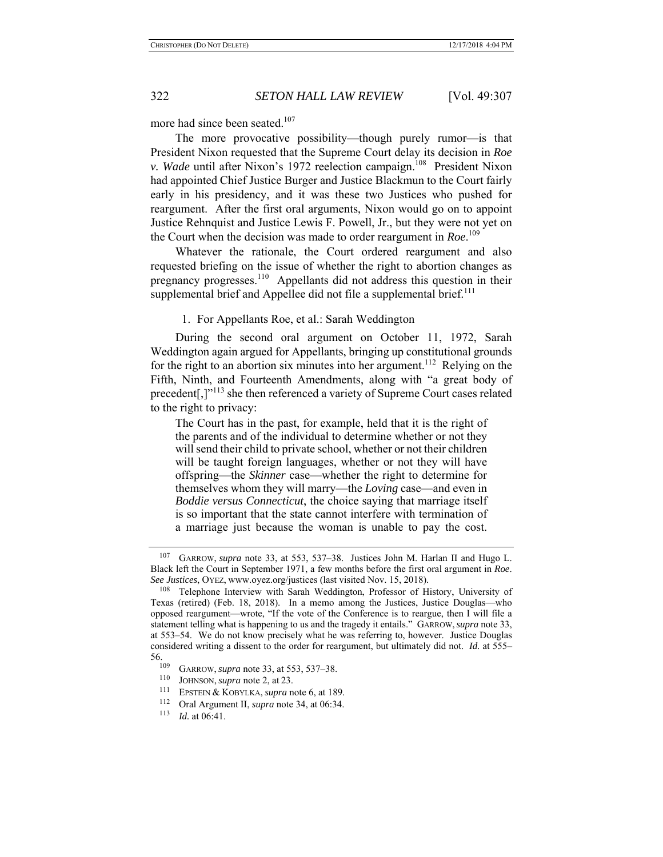more had since been seated.<sup>107</sup>

The more provocative possibility—though purely rumor—is that President Nixon requested that the Supreme Court delay its decision in *Roe v. Wade* until after Nixon's 1972 reelection campaign.<sup>108</sup> President Nixon had appointed Chief Justice Burger and Justice Blackmun to the Court fairly early in his presidency, and it was these two Justices who pushed for reargument. After the first oral arguments, Nixon would go on to appoint Justice Rehnquist and Justice Lewis F. Powell, Jr., but they were not yet on the Court when the decision was made to order reargument in *Roe*. 109

Whatever the rationale, the Court ordered reargument and also requested briefing on the issue of whether the right to abortion changes as pregnancy progresses.110 Appellants did not address this question in their supplemental brief and Appellee did not file a supplemental brief.<sup>111</sup>

### 1. For Appellants Roe, et al.: Sarah Weddington

During the second oral argument on October 11, 1972, Sarah Weddington again argued for Appellants, bringing up constitutional grounds for the right to an abortion six minutes into her argument.<sup>112</sup> Relying on the Fifth, Ninth, and Fourteenth Amendments, along with "a great body of precedent[,]"113 she then referenced a variety of Supreme Court cases related to the right to privacy:

The Court has in the past, for example, held that it is the right of the parents and of the individual to determine whether or not they will send their child to private school, whether or not their children will be taught foreign languages, whether or not they will have offspring—the *Skinner* case—whether the right to determine for themselves whom they will marry—the *Loving* case—and even in *Boddie versus Connecticut*, the choice saying that marriage itself is so important that the state cannot interfere with termination of a marriage just because the woman is unable to pay the cost.

<sup>107</sup> GARROW, *supra* note 33, at 553, 537–38. Justices John M. Harlan II and Hugo L. Black left the Court in September 1971, a few months before the first oral argument in *Roe*. *See Justices*, OYEZ, www.oyez.org/justices (last visited Nov. 15, 2018).

<sup>108</sup> Telephone Interview with Sarah Weddington, Professor of History, University of Texas (retired) (Feb. 18, 2018). In a memo among the Justices, Justice Douglas—who opposed reargument—wrote, "If the vote of the Conference is to reargue, then I will file a statement telling what is happening to us and the tragedy it entails." GARROW,*supra* note 33, at 553–54. We do not know precisely what he was referring to, however. Justice Douglas considered writing a dissent to the order for reargument, but ultimately did not. *Id.* at 555–  $\frac{56.}{109}$ 

<sup>&</sup>lt;sup>109</sup> GARROW, *supra* note 33, at 553, 537–38.

<sup>&</sup>lt;sup>110</sup> JOHNSON, *supra* note 2, at 23.<br><sup>111</sup> EPSTEIN & KOBYLKA, *supra* note 6, at 189.<br><sup>112</sup> Oral Argument II, *supra* note 34, at 06:34.

<sup>113</sup> *Id.* at 06:41.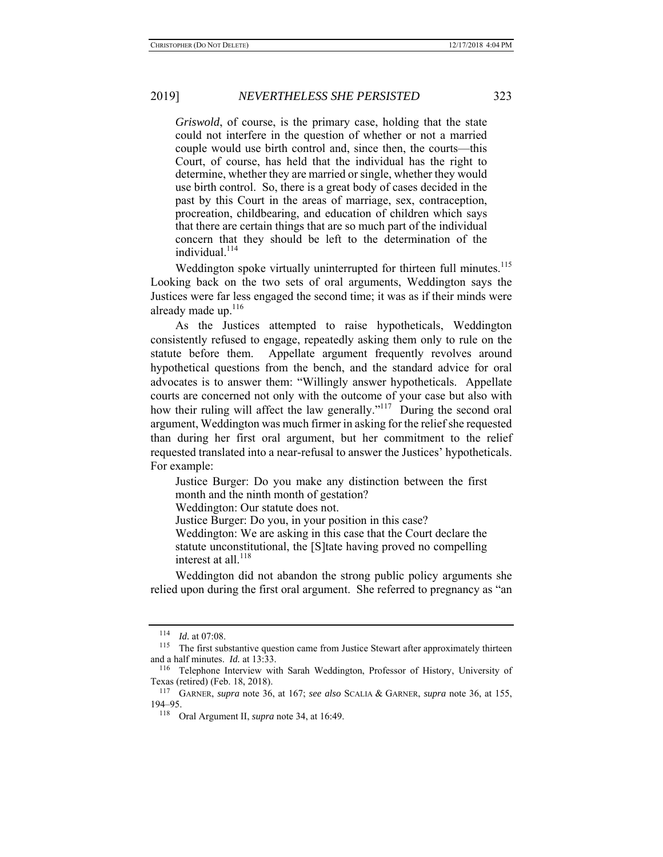*Griswold*, of course, is the primary case, holding that the state could not interfere in the question of whether or not a married couple would use birth control and, since then, the courts—this Court, of course, has held that the individual has the right to determine, whether they are married or single, whether they would use birth control. So, there is a great body of cases decided in the past by this Court in the areas of marriage, sex, contraception, procreation, childbearing, and education of children which says that there are certain things that are so much part of the individual concern that they should be left to the determination of the individual.<sup>114</sup>

Weddington spoke virtually uninterrupted for thirteen full minutes.<sup>115</sup> Looking back on the two sets of oral arguments, Weddington says the Justices were far less engaged the second time; it was as if their minds were already made up.<sup>116</sup>

As the Justices attempted to raise hypotheticals, Weddington consistently refused to engage, repeatedly asking them only to rule on the statute before them. Appellate argument frequently revolves around hypothetical questions from the bench, and the standard advice for oral advocates is to answer them: "Willingly answer hypotheticals. Appellate courts are concerned not only with the outcome of your case but also with how their ruling will affect the law generally."<sup>117</sup> During the second oral argument, Weddington was much firmer in asking for the relief she requested than during her first oral argument, but her commitment to the relief requested translated into a near-refusal to answer the Justices' hypotheticals. For example:

Justice Burger: Do you make any distinction between the first month and the ninth month of gestation?

Weddington: Our statute does not.

Justice Burger: Do you, in your position in this case?

Weddington: We are asking in this case that the Court declare the statute unconstitutional, the [S]tate having proved no compelling interest at all. $^{118}$ 

Weddington did not abandon the strong public policy arguments she relied upon during the first oral argument. She referred to pregnancy as "an

<sup>114</sup> *Id.* at 07:08.

<sup>&</sup>lt;sup>115</sup> The first substantive question came from Justice Stewart after approximately thirteen and a half minutes. *Id.* at 13:33.

<sup>116</sup> Telephone Interview with Sarah Weddington, Professor of History, University of Texas (retired) (Feb. 18, 2018).

<sup>117</sup> GARNER, *supra* note 36, at 167; *see also* SCALIA & GARNER, *supra* note 36, at 155, 194–95.

<sup>118</sup> Oral Argument II, *supra* note 34, at 16:49.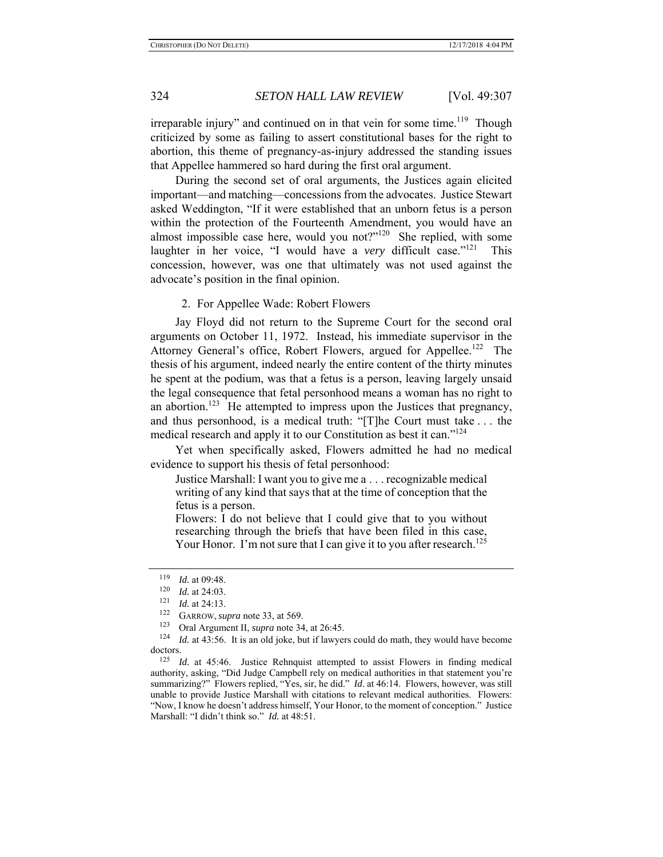irreparable injury" and continued on in that vein for some time.<sup>119</sup> Though criticized by some as failing to assert constitutional bases for the right to abortion, this theme of pregnancy-as-injury addressed the standing issues that Appellee hammered so hard during the first oral argument.

During the second set of oral arguments, the Justices again elicited important—and matching—concessions from the advocates. Justice Stewart asked Weddington, "If it were established that an unborn fetus is a person within the protection of the Fourteenth Amendment, you would have an almost impossible case here, would you not?" $120$  She replied, with some laughter in her voice, "I would have a *very* difficult case."<sup>121</sup> This concession, however, was one that ultimately was not used against the advocate's position in the final opinion.

2. For Appellee Wade: Robert Flowers

Jay Floyd did not return to the Supreme Court for the second oral arguments on October 11, 1972. Instead, his immediate supervisor in the Attorney General's office, Robert Flowers, argued for Appellee.<sup>122</sup> The thesis of his argument, indeed nearly the entire content of the thirty minutes he spent at the podium, was that a fetus is a person, leaving largely unsaid the legal consequence that fetal personhood means a woman has no right to an abortion.<sup>123</sup> He attempted to impress upon the Justices that pregnancy, and thus personhood, is a medical truth: "[T]he Court must take . . . the medical research and apply it to our Constitution as best it can."<sup>124</sup>

Yet when specifically asked, Flowers admitted he had no medical evidence to support his thesis of fetal personhood:

Justice Marshall: I want you to give me a . . . recognizable medical writing of any kind that says that at the time of conception that the fetus is a person.

Flowers: I do not believe that I could give that to you without researching through the briefs that have been filed in this case, Your Honor. I'm not sure that I can give it to you after research.<sup>125</sup>

<sup>&</sup>lt;sup>119</sup> *Id.* at 09:48.<br><sup>120</sup> *Id.* at 24:03.

<sup>121</sup> *Id.* at 24:13.<br><sup>122</sup> GARROW, *supra* note 33, at 569.

<sup>&</sup>lt;sup>123</sup> Oral Argument II, *supra* note 34, at 26:45.<br><sup>124</sup> *Id.* at 43:56. It is an old joke, but if lawyers could do math, they would have become doctors.

<sup>125</sup> *Id.* at 45:46. Justice Rehnquist attempted to assist Flowers in finding medical authority, asking, "Did Judge Campbell rely on medical authorities in that statement you're summarizing?" Flowers replied, "Yes, sir, he did." *Id*. at 46:14. Flowers, however, was still unable to provide Justice Marshall with citations to relevant medical authorities. Flowers: "Now, I know he doesn't address himself, Your Honor, to the moment of conception." Justice Marshall: "I didn't think so." *Id.* at 48:51.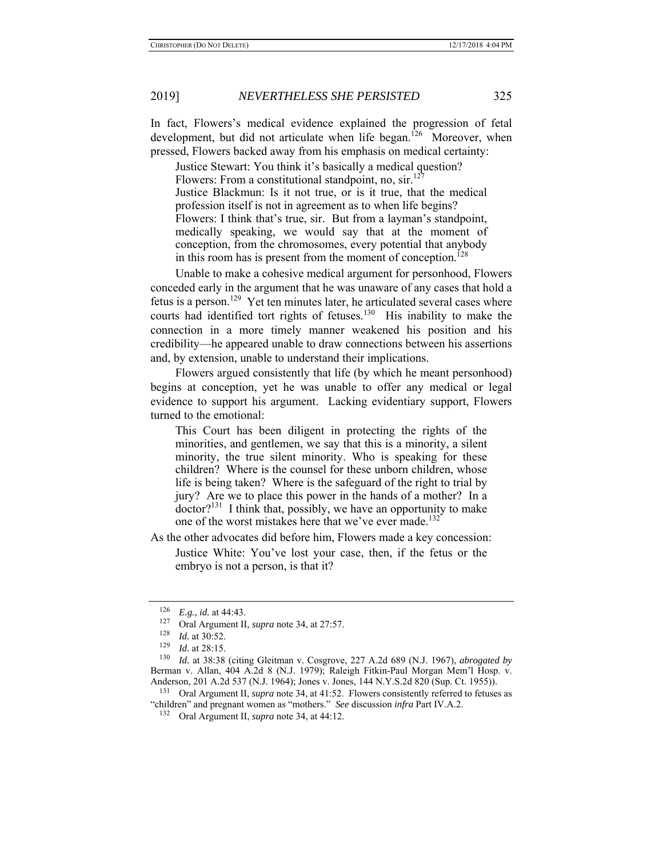In fact, Flowers's medical evidence explained the progression of fetal development, but did not articulate when life began.<sup>126</sup> Moreover, when pressed, Flowers backed away from his emphasis on medical certainty:

Justice Stewart: You think it's basically a medical question? Flowers: From a constitutional standpoint, no,  $\sin^{12}$ Justice Blackmun: Is it not true, or is it true, that the medical profession itself is not in agreement as to when life begins? Flowers: I think that's true, sir. But from a layman's standpoint, medically speaking, we would say that at the moment of conception, from the chromosomes, every potential that anybody in this room has is present from the moment of conception.<sup>128</sup>

Unable to make a cohesive medical argument for personhood, Flowers conceded early in the argument that he was unaware of any cases that hold a fetus is a person.<sup>129</sup> Yet ten minutes later, he articulated several cases where courts had identified tort rights of fetuses.<sup>130</sup> His inability to make the connection in a more timely manner weakened his position and his credibility—he appeared unable to draw connections between his assertions and, by extension, unable to understand their implications.

Flowers argued consistently that life (by which he meant personhood) begins at conception, yet he was unable to offer any medical or legal evidence to support his argument. Lacking evidentiary support, Flowers turned to the emotional:

This Court has been diligent in protecting the rights of the minorities, and gentlemen, we say that this is a minority, a silent minority, the true silent minority. Who is speaking for these children? Where is the counsel for these unborn children, whose life is being taken? Where is the safeguard of the right to trial by jury? Are we to place this power in the hands of a mother? In a doctor?<sup>131</sup> I think that, possibly, we have an opportunity to make one of the worst mistakes here that we've ever made.<sup>132</sup>

As the other advocates did before him, Flowers made a key concession:

Justice White: You've lost your case, then, if the fetus or the embryo is not a person, is that it?

131 Oral Argument II, *supra* note 34, at 41:52. Flowers consistently referred to fetuses as "children" and pregnant women as "mothers." *See* discussion *infra* Part IV.A.2.

<sup>126</sup> *E.g.*, *id.* at 44:43.

<sup>127</sup> Oral Argument II, *supra* note 34, at 27:57.

 $\frac{128}{129}$  *Id.* at 30:52.

*Id.* at 28:15.

<sup>130</sup> *Id.* at 38:38 (citing Gleitman v. Cosgrove, 227 A.2d 689 (N.J. 1967), *abrogated by*  Berman v. Allan, 404 A.2d 8 (N.J. 1979); Raleigh Fitkin-Paul Morgan Mem'l Hosp. v. Anderson, 201 A.2d 537 (N.J. 1964); Jones v. Jones, 144 N.Y.S.2d 820 (Sup. Ct. 1955)).

<sup>132</sup> Oral Argument II, *supra* note 34, at 44:12.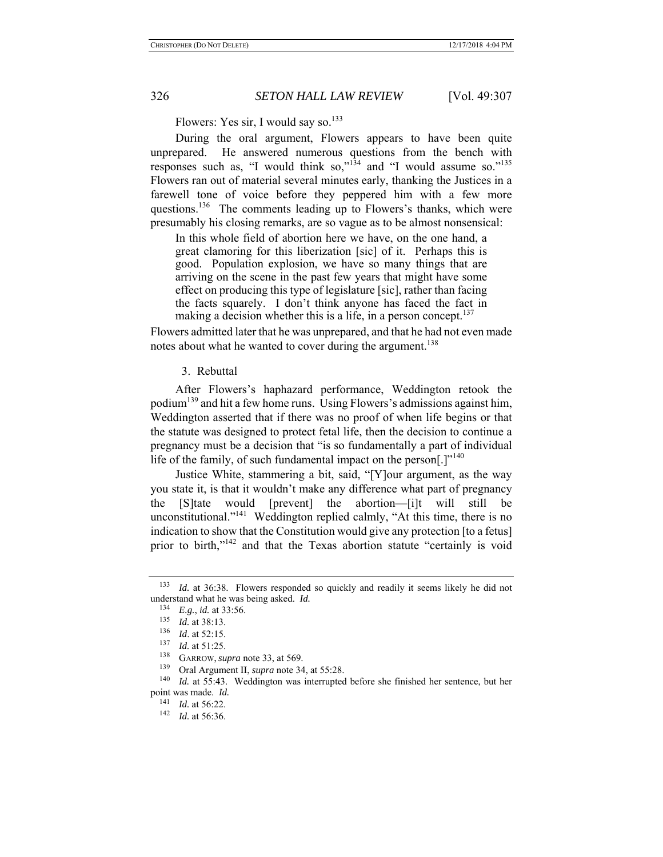Flowers: Yes sir, I would say so.<sup>133</sup>

During the oral argument, Flowers appears to have been quite unprepared. He answered numerous questions from the bench with responses such as, "I would think so," $134$  and "I would assume so." $135$ Flowers ran out of material several minutes early, thanking the Justices in a farewell tone of voice before they peppered him with a few more questions.<sup>136</sup> The comments leading up to Flowers's thanks, which were presumably his closing remarks, are so vague as to be almost nonsensical:

In this whole field of abortion here we have, on the one hand, a great clamoring for this liberization [sic] of it. Perhaps this is good. Population explosion, we have so many things that are arriving on the scene in the past few years that might have some effect on producing this type of legislature [sic], rather than facing the facts squarely. I don't think anyone has faced the fact in making a decision whether this is a life, in a person concept. $137$ 

Flowers admitted later that he was unprepared, and that he had not even made notes about what he wanted to cover during the argument.<sup>138</sup>

3. Rebuttal

After Flowers's haphazard performance, Weddington retook the podium<sup>139</sup> and hit a few home runs. Using Flowers's admissions against him, Weddington asserted that if there was no proof of when life begins or that the statute was designed to protect fetal life, then the decision to continue a pregnancy must be a decision that "is so fundamentally a part of individual life of the family, of such fundamental impact on the person $[.]$ <sup>140</sup>

Justice White, stammering a bit, said, "[Y]our argument, as the way you state it, is that it wouldn't make any difference what part of pregnancy the [S]tate would [prevent] the abortion—[i]t will still be unconstitutional."<sup>141</sup> Weddington replied calmly, "At this time, there is no indication to show that the Constitution would give any protection [to a fetus] prior to birth,"<sup>142</sup> and that the Texas abortion statute "certainly is void

<sup>133</sup> *Id.* at 36:38. Flowers responded so quickly and readily it seems likely he did not understand what he was being asked. *Id.* 

<sup>134</sup> *E.g.*, *id.* at 33:56.

<sup>135</sup> *Id.* at 38:13.

 $\frac{136}{137}$  *Id.* at 52:15.

 $\frac{137}{138}$  *Id.* at 51:25.

GARROW, *supra* note 33, at 569.

<sup>139</sup> Oral Argument II, *supra* note 34, at 55:28.<br>
<sup>140</sup> Id at 55:43 Weddington was internuited

Id. at 55:43. Weddington was interrupted before she finished her sentence, but her point was made. *Id.* <sup>141</sup> *Id.* at 56:22.

<sup>&</sup>lt;sup>142</sup> *Id.* at 56:36.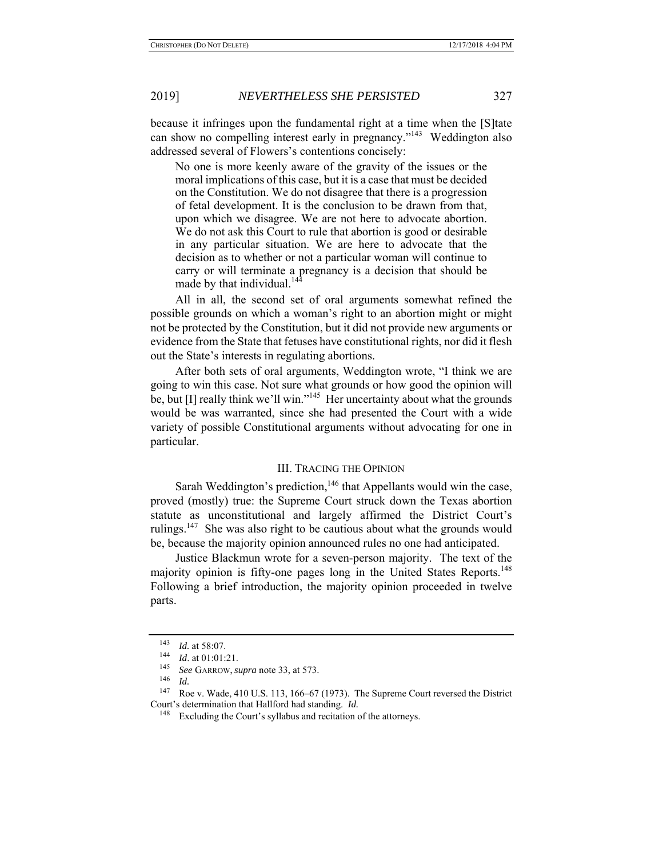because it infringes upon the fundamental right at a time when the [S]tate can show no compelling interest early in pregnancy."<sup>143</sup> Weddington also addressed several of Flowers's contentions concisely:

No one is more keenly aware of the gravity of the issues or the moral implications of this case, but it is a case that must be decided on the Constitution. We do not disagree that there is a progression of fetal development. It is the conclusion to be drawn from that, upon which we disagree. We are not here to advocate abortion. We do not ask this Court to rule that abortion is good or desirable in any particular situation. We are here to advocate that the decision as to whether or not a particular woman will continue to carry or will terminate a pregnancy is a decision that should be made by that individual.<sup>144</sup>

All in all, the second set of oral arguments somewhat refined the possible grounds on which a woman's right to an abortion might or might not be protected by the Constitution, but it did not provide new arguments or evidence from the State that fetuses have constitutional rights, nor did it flesh out the State's interests in regulating abortions.

After both sets of oral arguments, Weddington wrote, "I think we are going to win this case. Not sure what grounds or how good the opinion will be, but  $[I]$  really think we'll win."<sup>145</sup> Her uncertainty about what the grounds would be was warranted, since she had presented the Court with a wide variety of possible Constitutional arguments without advocating for one in particular.

### III. TRACING THE OPINION

Sarah Weddington's prediction,<sup>146</sup> that Appellants would win the case, proved (mostly) true: the Supreme Court struck down the Texas abortion statute as unconstitutional and largely affirmed the District Court's rulings.<sup>147</sup> She was also right to be cautious about what the grounds would be, because the majority opinion announced rules no one had anticipated.

Justice Blackmun wrote for a seven-person majority. The text of the majority opinion is fifty-one pages long in the United States Reports.<sup>148</sup> Following a brief introduction, the majority opinion proceeded in twelve parts.

<sup>143</sup>*Id.* at 58:07. 144 *Id*. at 01:01:21.

<sup>&</sup>lt;sup>145</sup> *See* GARROW, *supra* note 33, at 573.

 $\frac{146}{147}$  *Id.* 

Roe v. Wade, 410 U.S. 113, 166–67 (1973). The Supreme Court reversed the District Court's determination that Hallford had standing. *Id.*

<sup>&</sup>lt;sup>148</sup> Excluding the Court's syllabus and recitation of the attorneys.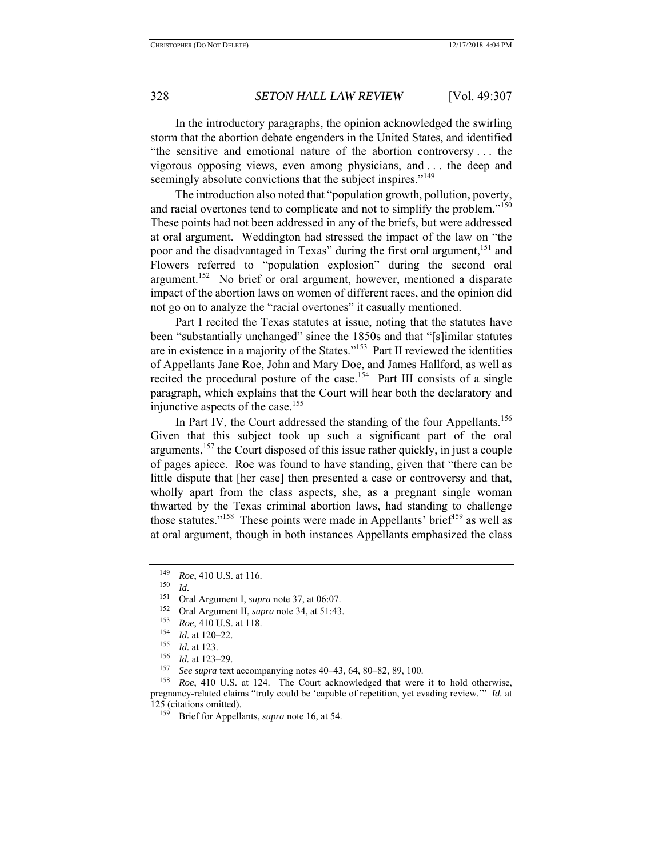In the introductory paragraphs, the opinion acknowledged the swirling storm that the abortion debate engenders in the United States, and identified "the sensitive and emotional nature of the abortion controversy . . . the vigorous opposing views, even among physicians, and . . . the deep and seemingly absolute convictions that the subject inspires."<sup>149</sup>

The introduction also noted that "population growth, pollution, poverty, and racial overtones tend to complicate and not to simplify the problem."<sup>150</sup> These points had not been addressed in any of the briefs, but were addressed at oral argument. Weddington had stressed the impact of the law on "the poor and the disadvantaged in Texas" during the first oral argument,<sup>151</sup> and Flowers referred to "population explosion" during the second oral argument.<sup>152</sup> No brief or oral argument, however, mentioned a disparate impact of the abortion laws on women of different races, and the opinion did not go on to analyze the "racial overtones" it casually mentioned.

Part I recited the Texas statutes at issue, noting that the statutes have been "substantially unchanged" since the 1850s and that "[s]imilar statutes are in existence in a majority of the States."153 Part II reviewed the identities of Appellants Jane Roe, John and Mary Doe, and James Hallford, as well as recited the procedural posture of the case.<sup>154</sup> Part III consists of a single paragraph, which explains that the Court will hear both the declaratory and injunctive aspects of the case.<sup>155</sup>

In Part IV, the Court addressed the standing of the four Appellants.<sup>156</sup> Given that this subject took up such a significant part of the oral arguments,  $157$  the Court disposed of this issue rather quickly, in just a couple of pages apiece. Roe was found to have standing, given that "there can be little dispute that [her case] then presented a case or controversy and that, wholly apart from the class aspects, she, as a pregnant single woman thwarted by the Texas criminal abortion laws, had standing to challenge those statutes."<sup>158</sup> These points were made in Appellants' brief<sup>159</sup> as well as at oral argument, though in both instances Appellants emphasized the class

<sup>153</sup> *Roe*, 410 U.S. at 118.

 $^{149}$  *Roe*, 410 U.S. at 116.

 $\frac{150}{151}$  *Id.* 

Oral Argument I, *supra* note 37, at 06:07.

<sup>&</sup>lt;sup>152</sup> Oral Argument II, *supra* note 34, at 51:43.

*Id.* at 120–22.

 $\frac{155}{156}$  *Id.* at 123.

<sup>&</sup>lt;sup>156</sup> *Id.* at 123–29.

See supra text accompanying notes 40–43, 64, 80–82, 89, 100.

<sup>158</sup> *Roe*, 410 U.S. at 124. The Court acknowledged that were it to hold otherwise, pregnancy-related claims "truly could be 'capable of repetition, yet evading review.'" *Id.* at 125 (citations omitted).<br> $\frac{159}{25}$  Brief for Appelli

Brief for Appellants, *supra* note 16, at 54.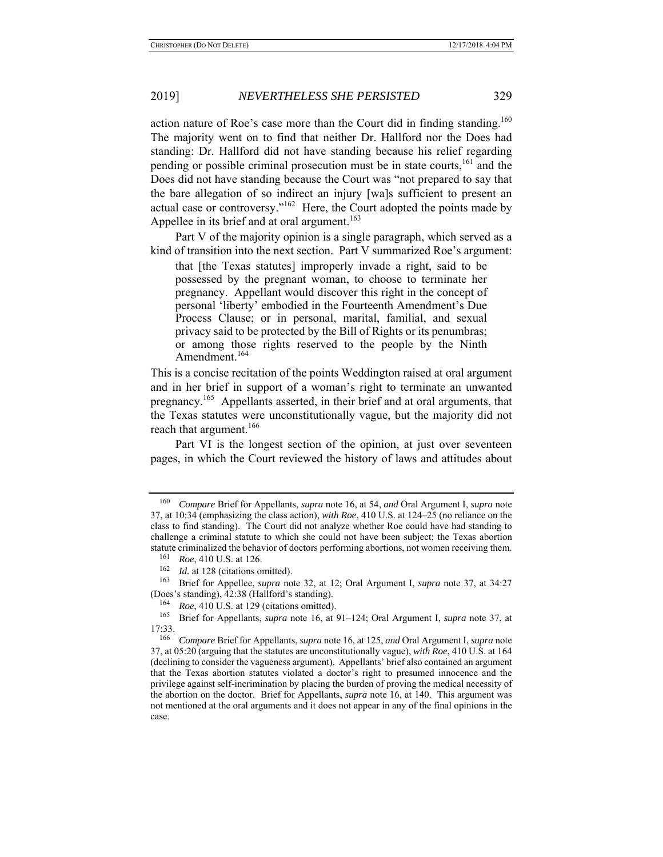action nature of Roe's case more than the Court did in finding standing.<sup>160</sup> The majority went on to find that neither Dr. Hallford nor the Does had standing: Dr. Hallford did not have standing because his relief regarding pending or possible criminal prosecution must be in state courts,<sup>161</sup> and the Does did not have standing because the Court was "not prepared to say that the bare allegation of so indirect an injury [wa]s sufficient to present an actual case or controversy." $162$  Here, the Court adopted the points made by Appellee in its brief and at oral argument.<sup>163</sup>

Part V of the majority opinion is a single paragraph, which served as a kind of transition into the next section. Part V summarized Roe's argument:

that [the Texas statutes] improperly invade a right, said to be possessed by the pregnant woman, to choose to terminate her pregnancy. Appellant would discover this right in the concept of personal 'liberty' embodied in the Fourteenth Amendment's Due Process Clause; or in personal, marital, familial, and sexual privacy said to be protected by the Bill of Rights or its penumbras; or among those rights reserved to the people by the Ninth Amendment.<sup>164</sup>

This is a concise recitation of the points Weddington raised at oral argument and in her brief in support of a woman's right to terminate an unwanted pregnancy.165 Appellants asserted, in their brief and at oral arguments, that the Texas statutes were unconstitutionally vague, but the majority did not reach that argument.<sup>166</sup>

Part VI is the longest section of the opinion, at just over seventeen pages, in which the Court reviewed the history of laws and attitudes about

<sup>160</sup> *Compare* Brief for Appellants, *supra* note 16, at 54, *and* Oral Argument I, *supra* note 37, at 10:34 (emphasizing the class action), *with Roe*, 410 U.S. at 124–25 (no reliance on the class to find standing). The Court did not analyze whether Roe could have had standing to challenge a criminal statute to which she could not have been subject; the Texas abortion statute criminalized the behavior of doctors performing abortions, not women receiving them.

 $161$  *Roe*, 410 U.S. at 126.

 $162$  *Id.* at 128 (citations omitted).

<sup>163</sup> Brief for Appellee, *supra* note 32, at 12; Oral Argument I, *supra* note 37, at 34:27 (Does's standing), 42:38 (Hallford's standing).

<sup>164</sup> *Roe*, 410 U.S. at 129 (citations omitted).

<sup>165</sup> Brief for Appellants, *supra* note 16, at 91–124; Oral Argument I, *supra* note 37, at 17:33.

<sup>166</sup> *Compare* Brief for Appellants, *supra* note 16, at 125, *and* Oral Argument I, *supra* note 37, at 05:20 (arguing that the statutes are unconstitutionally vague), *with Roe*, 410 U.S. at 164 (declining to consider the vagueness argument). Appellants' brief also contained an argument that the Texas abortion statutes violated a doctor's right to presumed innocence and the privilege against self-incrimination by placing the burden of proving the medical necessity of the abortion on the doctor. Brief for Appellants, *supra* note 16, at 140. This argument was not mentioned at the oral arguments and it does not appear in any of the final opinions in the case.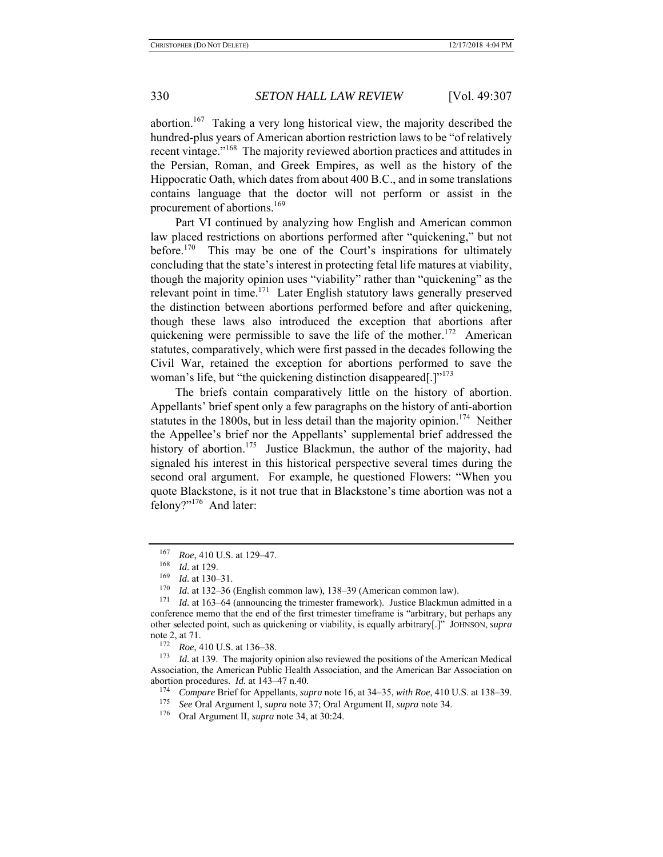abortion.<sup>167</sup> Taking a very long historical view, the majority described the hundred-plus years of American abortion restriction laws to be "of relatively recent vintage."168 The majority reviewed abortion practices and attitudes in the Persian, Roman, and Greek Empires, as well as the history of the Hippocratic Oath, which dates from about 400 B.C., and in some translations contains language that the doctor will not perform or assist in the procurement of abortions.<sup>169</sup>

Part VI continued by analyzing how English and American common law placed restrictions on abortions performed after "quickening," but not before.<sup>170</sup> This may be one of the Court's inspirations for ultimately concluding that the state's interest in protecting fetal life matures at viability, though the majority opinion uses "viability" rather than "quickening" as the relevant point in time.<sup>171</sup> Later English statutory laws generally preserved the distinction between abortions performed before and after quickening, though these laws also introduced the exception that abortions after quickening were permissible to save the life of the mother.<sup>172</sup> American statutes, comparatively, which were first passed in the decades following the Civil War, retained the exception for abortions performed to save the woman's life, but "the quickening distinction disappeared[.]"<sup>173</sup>

The briefs contain comparatively little on the history of abortion. Appellants' brief spent only a few paragraphs on the history of anti-abortion statutes in the 1800s, but in less detail than the majority opinion.<sup>174</sup> Neither the Appellee's brief nor the Appellants' supplemental brief addressed the history of abortion.<sup>175</sup> Justice Blackmun, the author of the majority, had signaled his interest in this historical perspective several times during the second oral argument. For example, he questioned Flowers: "When you quote Blackstone, is it not true that in Blackstone's time abortion was not a felony?"176 And later:

<sup>&</sup>lt;sup>167</sup> *Roe*, 410 U.S. at 129–47.<br><sup>168</sup> *M* at 129.

 $\frac{168}{169}$  *Id.* at 129.

 $\frac{169}{170}$  *Id.* at 130–31.

<sup>170</sup> *Id.* at 132–36 (English common law), 138–39 (American common law).

Id. at 163–64 (announcing the trimester framework). Justice Blackmun admitted in a conference memo that the end of the first trimester timeframe is "arbitrary, but perhaps any other selected point, such as quickening or viability, is equally arbitrary[.]" JOHNSON, *supra*  note 2, at 71.

 $172 \quad Roe, 410 \text{ U.S. at } 136-38.$ <br> $173 \quad Id$  at 139. The majority of

Id. at 139. The majority opinion also reviewed the positions of the American Medical Association, the American Public Health Association, and the American Bar Association on abortion procedures. *Id.* at 143–47 n.40.

<sup>174</sup> *Compare* Brief for Appellants, *supra* note 16, at 34–35, *with Roe*, 410 U.S. at 138–39.

<sup>175</sup> *See* Oral Argument I, *supra* note 37; Oral Argument II, *supra* note 34.

<sup>176</sup> Oral Argument II, *supra* note 34, at 30:24.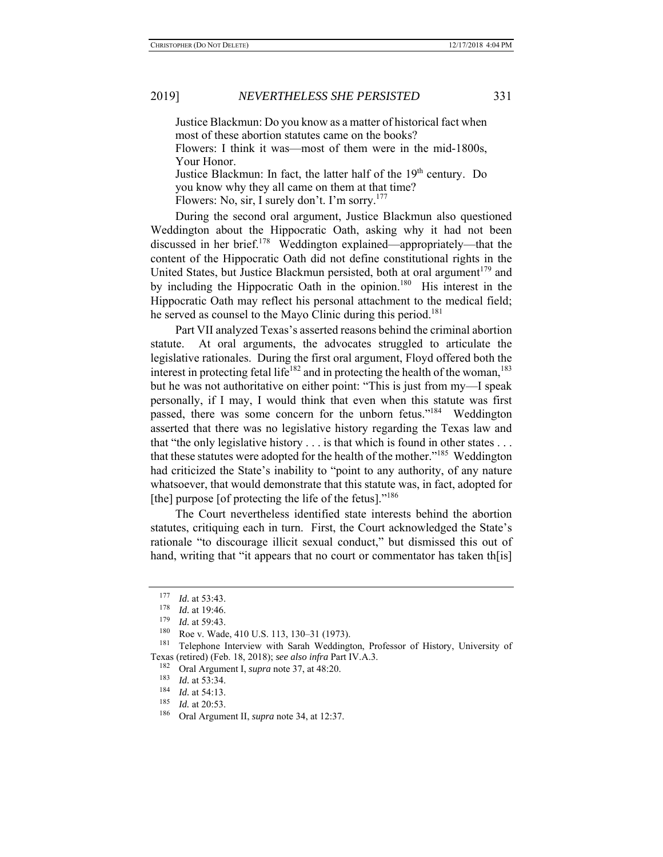Justice Blackmun: Do you know as a matter of historical fact when most of these abortion statutes came on the books?

Flowers: I think it was—most of them were in the mid-1800s, Your Honor.

Justice Blackmun: In fact, the latter half of the 19<sup>th</sup> century. Do you know why they all came on them at that time?

Flowers: No, sir, I surely don't. I'm sorry.<sup>177</sup>

During the second oral argument, Justice Blackmun also questioned Weddington about the Hippocratic Oath, asking why it had not been discussed in her brief.<sup>178</sup> Weddington explained—appropriately—that the content of the Hippocratic Oath did not define constitutional rights in the United States, but Justice Blackmun persisted, both at oral argument<sup>179</sup> and by including the Hippocratic Oath in the opinion.<sup>180</sup> His interest in the Hippocratic Oath may reflect his personal attachment to the medical field; he served as counsel to the Mayo Clinic during this period.<sup>181</sup>

Part VII analyzed Texas's asserted reasons behind the criminal abortion statute. At oral arguments, the advocates struggled to articulate the legislative rationales. During the first oral argument, Floyd offered both the interest in protecting fetal life<sup>182</sup> and in protecting the health of the woman,<sup>183</sup> but he was not authoritative on either point: "This is just from my—I speak personally, if I may, I would think that even when this statute was first passed, there was some concern for the unborn fetus."<sup>184</sup> Weddington asserted that there was no legislative history regarding the Texas law and that "the only legislative history . . . is that which is found in other states . . . that these statutes were adopted for the health of the mother."<sup>185</sup> Weddington had criticized the State's inability to "point to any authority, of any nature whatsoever, that would demonstrate that this statute was, in fact, adopted for [the] purpose [of protecting the life of the fetus]."<sup>186</sup>

The Court nevertheless identified state interests behind the abortion statutes, critiquing each in turn. First, the Court acknowledged the State's rationale "to discourage illicit sexual conduct," but dismissed this out of hand, writing that "it appears that no court or commentator has taken then  $\lfloor \cdot \rfloor$ 

 $\frac{177}{178}$  *Id.* at 53:43.

 $\frac{178}{179}$  *Id.* at 19:46.

*Id.* at 59:43.

 $^{180}$  Roe v. Wade, 410 U.S. 113, 130–31 (1973).

Telephone Interview with Sarah Weddington, Professor of History, University of Texas (retired) (Feb. 18, 2018); *see also infra* Part IV.A.3.

<sup>&</sup>lt;sup>182</sup> Oral Argument I, *supra* note 37, at 48:20.

 $\frac{183}{184}$  *Id.* at 53:34.

 $\frac{184}{185}$  *Id.* at 54:13.

<sup>&</sup>lt;sup>185</sup> *Id.* at 20:53.

Oral Argument II, *supra* note 34, at 12:37.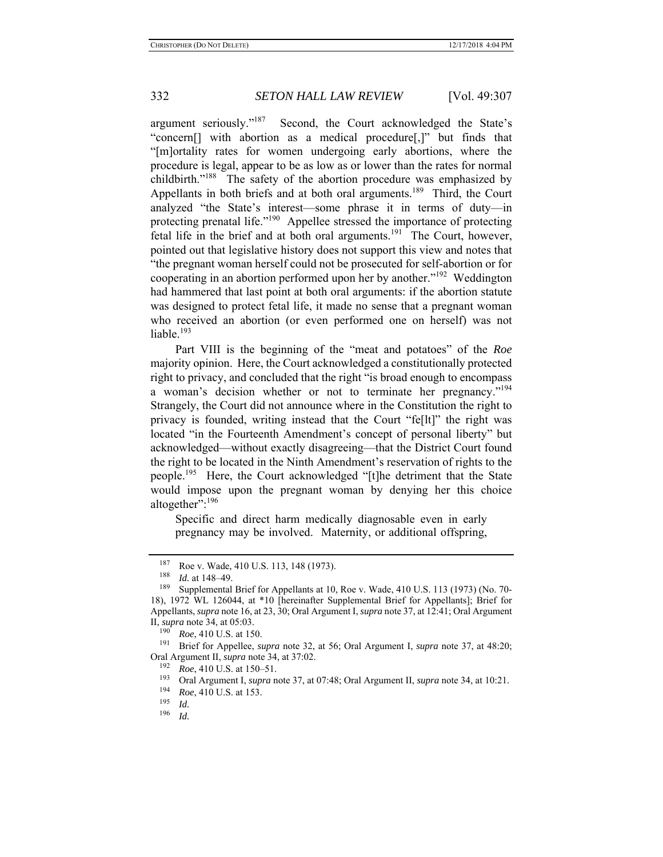argument seriously."<sup>187</sup> Second, the Court acknowledged the State's "concern[] with abortion as a medical procedure[,]" but finds that "[m]ortality rates for women undergoing early abortions, where the procedure is legal, appear to be as low as or lower than the rates for normal childbirth."<sup>188</sup> The safety of the abortion procedure was emphasized by Appellants in both briefs and at both oral arguments.<sup>189</sup> Third, the Court analyzed "the State's interest—some phrase it in terms of duty—in protecting prenatal life."<sup>190</sup> Appellee stressed the importance of protecting fetal life in the brief and at both oral arguments.<sup>191</sup> The Court, however, pointed out that legislative history does not support this view and notes that "the pregnant woman herself could not be prosecuted for self-abortion or for cooperating in an abortion performed upon her by another."192 Weddington had hammered that last point at both oral arguments: if the abortion statute was designed to protect fetal life, it made no sense that a pregnant woman who received an abortion (or even performed one on herself) was not liable.<sup>193</sup>

Part VIII is the beginning of the "meat and potatoes" of the *Roe* majority opinion. Here, the Court acknowledged a constitutionally protected right to privacy, and concluded that the right "is broad enough to encompass a woman's decision whether or not to terminate her pregnancy."<sup>194</sup> Strangely, the Court did not announce where in the Constitution the right to privacy is founded, writing instead that the Court "fe[lt]" the right was located "in the Fourteenth Amendment's concept of personal liberty" but acknowledged—without exactly disagreeing—that the District Court found the right to be located in the Ninth Amendment's reservation of rights to the people.<sup>195</sup> Here, the Court acknowledged "[t]he detriment that the State would impose upon the pregnant woman by denying her this choice altogether":<sup>196</sup>

Specific and direct harm medically diagnosable even in early pregnancy may be involved. Maternity, or additional offspring,

191 Brief for Appellee, *supra* note 32, at 56; Oral Argument I, *supra* note 37, at 48:20; Oral Argument II, *supra* note 34, at 37:02.

 $^{187}$  Roe v. Wade, 410 U.S. 113, 148 (1973).

 $\frac{188}{189}$  *Id.* at 148–49.

Supplemental Brief for Appellants at 10, Roe v. Wade, 410 U.S. 113 (1973) (No. 70-18), 1972 WL 126044, at \*10 [hereinafter Supplemental Brief for Appellants]; Brief for Appellants, *supra* note 16, at 23, 30; Oral Argument I, *supra* note 37, at 12:41; Oral Argument II, *supra* note 34, at 05:03.

<sup>&</sup>lt;sup>190</sup> *Roe*, 410 U.S. at 150.

<sup>&</sup>lt;sup>192</sup> *Roe*, 410 U.S. at 150–51.

<sup>193</sup> Oral Argument I, *supra* note 37, at 07:48; Oral Argument II, *supra* note 34, at 10:21.

<sup>&</sup>lt;sup>194</sup> *Roe*, 410 U.S. at 153.

 $\frac{195}{196}$  *Id.* 

*Id.*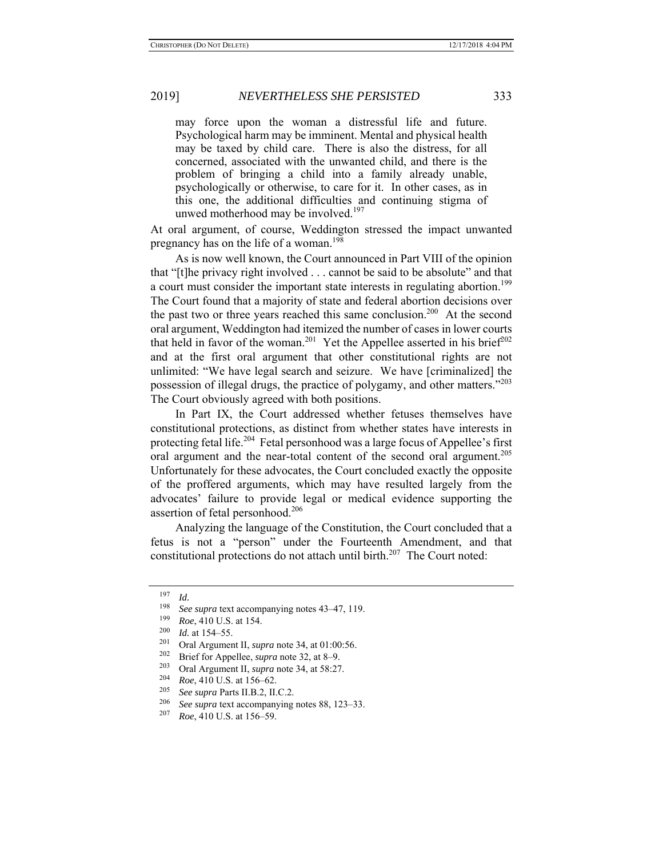may force upon the woman a distressful life and future. Psychological harm may be imminent. Mental and physical health may be taxed by child care. There is also the distress, for all concerned, associated with the unwanted child, and there is the problem of bringing a child into a family already unable, psychologically or otherwise, to care for it. In other cases, as in this one, the additional difficulties and continuing stigma of unwed motherhood may be involved.<sup>197</sup>

At oral argument, of course, Weddington stressed the impact unwanted pregnancy has on the life of a woman.<sup>198</sup>

As is now well known, the Court announced in Part VIII of the opinion that "[t]he privacy right involved . . . cannot be said to be absolute" and that a court must consider the important state interests in regulating abortion.<sup>199</sup> The Court found that a majority of state and federal abortion decisions over the past two or three years reached this same conclusion.<sup>200</sup> At the second oral argument, Weddington had itemized the number of cases in lower courts that held in favor of the woman.<sup>201</sup> Yet the Appellee asserted in his brief<sup>202</sup> and at the first oral argument that other constitutional rights are not unlimited: "We have legal search and seizure. We have [criminalized] the possession of illegal drugs, the practice of polygamy, and other matters."<sup>203</sup> The Court obviously agreed with both positions.

In Part IX, the Court addressed whether fetuses themselves have constitutional protections, as distinct from whether states have interests in protecting fetal life.<sup>204</sup> Fetal personhood was a large focus of Appellee's first oral argument and the near-total content of the second oral argument.<sup>205</sup> Unfortunately for these advocates, the Court concluded exactly the opposite of the proffered arguments, which may have resulted largely from the advocates' failure to provide legal or medical evidence supporting the assertion of fetal personhood.206

Analyzing the language of the Constitution, the Court concluded that a fetus is not a "person" under the Fourteenth Amendment, and that constitutional protections do not attach until birth. $207$  The Court noted:

 $\frac{197}{198}$  *Id.* 

See supra text accompanying notes 43–47, 119.

<sup>&</sup>lt;sup>199</sup> *Roe*, 410 U.S. at 154.

 $\frac{200}{201}$  *Id.* at 154–55.

<sup>&</sup>lt;sup>201</sup> Oral Argument II, *supra* note 34, at 01:00:56.<br><sup>202</sup> Priof for Angellas, suppraete 22, at 8, 0.

<sup>&</sup>lt;sup>202</sup> Brief for Appellee, *supra* note 32, at 8–9.<br><sup>203</sup> Out Agreement H, resume at a 24, at 58:27

<sup>&</sup>lt;sup>203</sup> Oral Argument II, *supra* note 34, at 58:27.

<sup>204</sup> *Roe*, 410 U.S. at 156–62.

<sup>&</sup>lt;sup>205</sup> *See supra* Parts II.B.2, II.C.2.

<sup>&</sup>lt;sup>206</sup> *See supra* text accompanying notes 88, 123–33.<br><sup>207</sup> *Pos*, 410 U.S. at 156, 59.

<sup>207</sup> *Roe*, 410 U.S. at 156–59.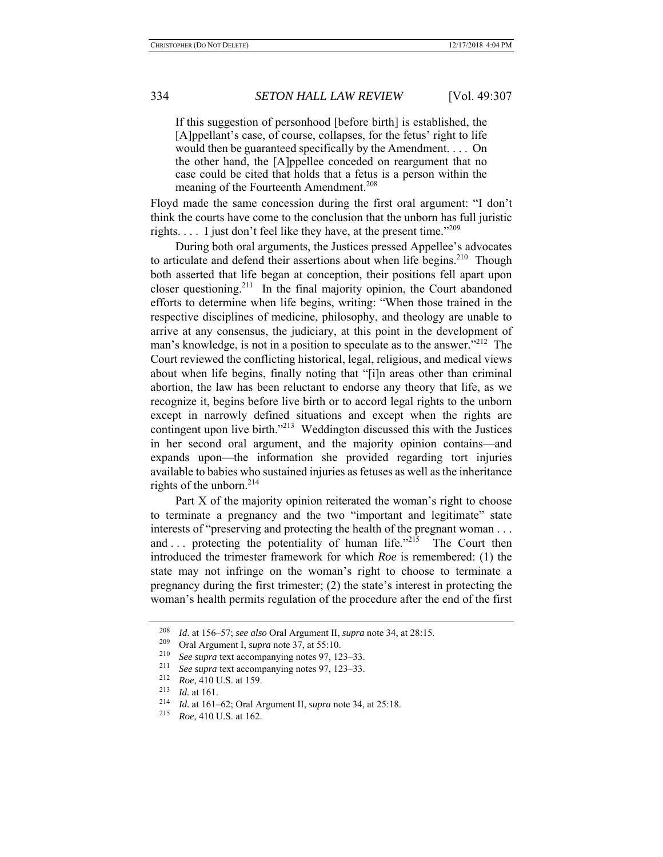If this suggestion of personhood [before birth] is established, the [A]ppellant's case, of course, collapses, for the fetus' right to life would then be guaranteed specifically by the Amendment. . . . On the other hand, the [A]ppellee conceded on reargument that no case could be cited that holds that a fetus is a person within the meaning of the Fourteenth Amendment.<sup>208</sup>

Floyd made the same concession during the first oral argument: "I don't think the courts have come to the conclusion that the unborn has full juristic rights.  $\ldots$  I just don't feel like they have, at the present time."<sup>209</sup>

During both oral arguments, the Justices pressed Appellee's advocates to articulate and defend their assertions about when life begins.<sup>210</sup> Though both asserted that life began at conception, their positions fell apart upon closer questioning.<sup>211</sup> In the final majority opinion, the Court abandoned efforts to determine when life begins, writing: "When those trained in the respective disciplines of medicine, philosophy, and theology are unable to arrive at any consensus, the judiciary, at this point in the development of man's knowledge, is not in a position to speculate as to the answer."<sup>212</sup> The Court reviewed the conflicting historical, legal, religious, and medical views about when life begins, finally noting that "[i]n areas other than criminal abortion, the law has been reluctant to endorse any theory that life, as we recognize it, begins before live birth or to accord legal rights to the unborn except in narrowly defined situations and except when the rights are contingent upon live birth."<sup>213</sup> Weddington discussed this with the Justices in her second oral argument, and the majority opinion contains—and expands upon—the information she provided regarding tort injuries available to babies who sustained injuries as fetuses as well as the inheritance rights of the unborn.<sup>214</sup>

Part X of the majority opinion reiterated the woman's right to choose to terminate a pregnancy and the two "important and legitimate" state interests of "preserving and protecting the health of the pregnant woman . . . and ... protecting the potentiality of human life. $12^{15}$  The Court then introduced the trimester framework for which *Roe* is remembered: (1) the state may not infringe on the woman's right to choose to terminate a pregnancy during the first trimester; (2) the state's interest in protecting the woman's health permits regulation of the procedure after the end of the first

<sup>208</sup> *Id.* at 156–57; *see also* Oral Argument II, *supra* note 34, at 28:15.<br><sup>209</sup> Oral Argument I *supra* note 37, at 55:10

<sup>&</sup>lt;sup>209</sup> Oral Argument I, *supra* note 37, at 55:10.

<sup>210</sup>*See supra* text accompanying notes 97, 123–33. 211 *See supra* text accompanying notes 97, 123–33. 212 *Roe*, 410 U.S. at 159.

<sup>213</sup> *Id.* at 161.<br><sup>214</sup> *Id.* at 161–62; Oral Argument II, *supra* note 34, at 25:18.<br><sup>215</sup> Pos 410 U.S. at 162.

<sup>215</sup> *Roe*, 410 U.S. at 162.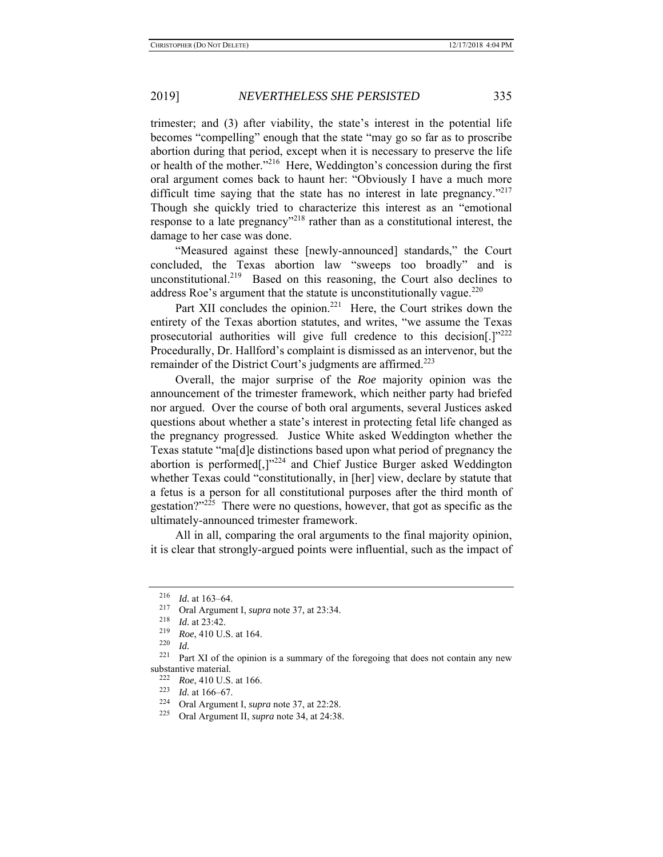trimester; and (3) after viability, the state's interest in the potential life becomes "compelling" enough that the state "may go so far as to proscribe abortion during that period, except when it is necessary to preserve the life or health of the mother."<sup>216</sup> Here, Weddington's concession during the first oral argument comes back to haunt her: "Obviously I have a much more difficult time saying that the state has no interest in late pregnancy. $12^{17}$ Though she quickly tried to characterize this interest as an "emotional response to a late pregnancy"<sup>218</sup> rather than as a constitutional interest, the damage to her case was done.

"Measured against these [newly-announced] standards," the Court concluded, the Texas abortion law "sweeps too broadly" and is unconstitutional.<sup>219</sup> Based on this reasoning, the Court also declines to address Roe's argument that the statute is unconstitutionally vague. $^{220}$ 

Part XII concludes the opinion.<sup>221</sup> Here, the Court strikes down the entirety of the Texas abortion statutes, and writes, "we assume the Texas prosecutorial authorities will give full credence to this decision[.]"222 Procedurally, Dr. Hallford's complaint is dismissed as an intervenor, but the remainder of the District Court's judgments are affirmed.<sup>223</sup>

Overall, the major surprise of the *Roe* majority opinion was the announcement of the trimester framework, which neither party had briefed nor argued. Over the course of both oral arguments, several Justices asked questions about whether a state's interest in protecting fetal life changed as the pregnancy progressed. Justice White asked Weddington whether the Texas statute "ma[d]e distinctions based upon what period of pregnancy the abortion is performed[,]"<sup>224</sup> and Chief Justice Burger asked Weddington whether Texas could "constitutionally, in [her] view, declare by statute that a fetus is a person for all constitutional purposes after the third month of gestation?"225 There were no questions, however, that got as specific as the ultimately-announced trimester framework.

All in all, comparing the oral arguments to the final majority opinion, it is clear that strongly-argued points were influential, such as the impact of

 $\frac{216}{217}$  *Id.* at 163–64.

<sup>&</sup>lt;sup>217</sup> Oral Argument I, *supra* note 37, at 23:34.

 $\frac{218}{219}$  *Id.* at 23:42.

 $^{219}$  *Roe*, 410 U.S. at 164.

 $\frac{220}{221}$  *Id.* 

Part XI of the opinion is a summary of the foregoing that does not contain any new substantive material.<br><sup>222</sup> *Roe*, 410 U.S. at 166.<br><sup>223</sup> *L*d at 166–67

<sup>223</sup>*Id.* at 166–67. 224 Oral Argument I, *supra* note 37, at 22:28.

<sup>225</sup> Oral Argument II, *supra* note 34, at 24:38.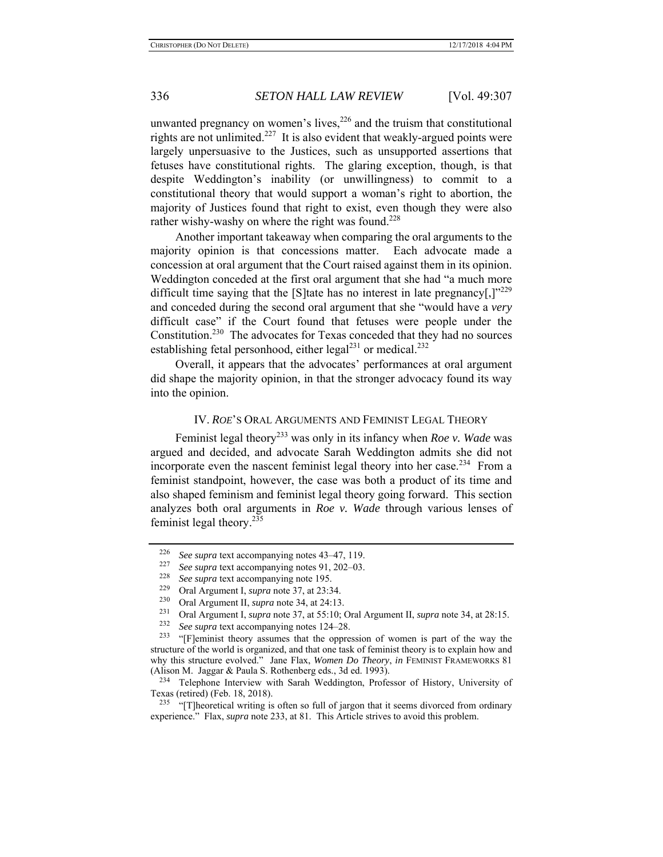unwanted pregnancy on women's lives, $226$  and the truism that constitutional rights are not unlimited.<sup>227</sup> It is also evident that weakly-argued points were largely unpersuasive to the Justices, such as unsupported assertions that fetuses have constitutional rights. The glaring exception, though, is that despite Weddington's inability (or unwillingness) to commit to a constitutional theory that would support a woman's right to abortion, the majority of Justices found that right to exist, even though they were also rather wishy-washy on where the right was found.<sup>228</sup>

Another important takeaway when comparing the oral arguments to the majority opinion is that concessions matter. Each advocate made a concession at oral argument that the Court raised against them in its opinion. Weddington conceded at the first oral argument that she had "a much more difficult time saying that the [S]tate has no interest in late pregnancy[,] $v^{229}$ and conceded during the second oral argument that she "would have a *very* difficult case" if the Court found that fetuses were people under the Constitution.<sup>230</sup> The advocates for Texas conceded that they had no sources establishing fetal personhood, either  $\text{legal}^{231}$  or medical.<sup>232</sup>

Overall, it appears that the advocates' performances at oral argument did shape the majority opinion, in that the stronger advocacy found its way into the opinion.

### IV. *ROE*'S ORAL ARGUMENTS AND FEMINIST LEGAL THEORY

Feminist legal theory<sup>233</sup> was only in its infancy when *Roe v. Wade* was argued and decided, and advocate Sarah Weddington admits she did not incorporate even the nascent feminist legal theory into her case.<sup>234</sup> From a feminist standpoint, however, the case was both a product of its time and also shaped feminism and feminist legal theory going forward. This section analyzes both oral arguments in *Roe v. Wade* through various lenses of feminist legal theory.235

<sup>&</sup>lt;sup>226</sup> *See supra* text accompanying notes 43–47, 119.<br><sup>227</sup> See supra text accompanying notes 91, 202, 03

See supra text accompanying notes 91, 202–03.

<sup>&</sup>lt;sup>228</sup> *See supra* text accompanying note 195.

<sup>229</sup> Oral Argument I, *supra* note 37, at 23:34.

<sup>230</sup> Oral Argument II, *supra* note 34, at 24:13.

<sup>231</sup> Oral Argument I, *supra* note 37, at 55:10; Oral Argument II, *supra* note 34, at 28:15.

<sup>&</sup>lt;sup>232</sup> *See supra* text accompanying notes 124–28.<br><sup>233</sup> "Elaminist theory assumes that the oppra

<sup>&</sup>quot;[F]eminist theory assumes that the oppression of women is part of the way the structure of the world is organized, and that one task of feminist theory is to explain how and why this structure evolved." Jane Flax, *Women Do Theory*, *in* FEMINIST FRAMEWORKS 81 (Alison M. Jaggar & Paula S. Rothenberg eds., 3d ed. 1993).

<sup>&</sup>lt;sup>234</sup> Telephone Interview with Sarah Weddington, Professor of History, University of Texas (retired) (Feb. 18, 2018).

<sup>&</sup>lt;sup>235</sup> "[T]heoretical writing is often so full of jargon that it seems divorced from ordinary experience." Flax, *supra* note 233, at 81. This Article strives to avoid this problem.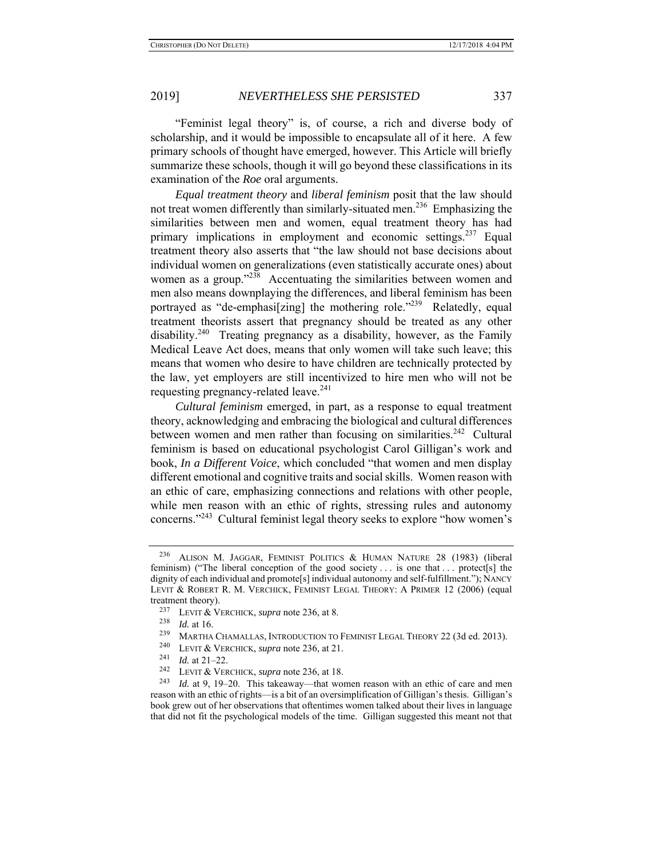"Feminist legal theory" is, of course, a rich and diverse body of scholarship, and it would be impossible to encapsulate all of it here. A few primary schools of thought have emerged, however. This Article will briefly summarize these schools, though it will go beyond these classifications in its examination of the *Roe* oral arguments.

*Equal treatment theory* and *liberal feminism* posit that the law should not treat women differently than similarly-situated men.<sup>236</sup> Emphasizing the similarities between men and women, equal treatment theory has had primary implications in employment and economic settings.<sup>237</sup> Equal treatment theory also asserts that "the law should not base decisions about individual women on generalizations (even statistically accurate ones) about women as a group."<sup>238</sup> Accentuating the similarities between women and men also means downplaying the differences, and liberal feminism has been portrayed as "de-emphasi[zing] the mothering role. $1239$  Relatedly, equal treatment theorists assert that pregnancy should be treated as any other disability.<sup>240</sup> Treating pregnancy as a disability, however, as the Family Medical Leave Act does, means that only women will take such leave; this means that women who desire to have children are technically protected by the law, yet employers are still incentivized to hire men who will not be requesting pregnancy-related leave.<sup>241</sup>

*Cultural feminism* emerged, in part, as a response to equal treatment theory, acknowledging and embracing the biological and cultural differences between women and men rather than focusing on similarities.<sup>242</sup> Cultural feminism is based on educational psychologist Carol Gilligan's work and book, *In a Different Voice*, which concluded "that women and men display different emotional and cognitive traits and social skills. Women reason with an ethic of care, emphasizing connections and relations with other people, while men reason with an ethic of rights, stressing rules and autonomy concerns."243 Cultural feminist legal theory seeks to explore "how women's

<sup>236</sup> ALISON M. JAGGAR, FEMINIST POLITICS & HUMAN NATURE 28 (1983) (liberal feminism) ("The liberal conception of the good society  $\dots$  is one that  $\dots$  protect [s] the dignity of each individual and promote[s] individual autonomy and self-fulfillment."); NANCY LEVIT & ROBERT R. M. VERCHICK, FEMINIST LEGAL THEORY: A PRIMER 12 (2006) (equal treatment theory).

<sup>237</sup> LEVIT & VERCHICK, *supra* note 236, at 8.

<sup>238</sup> *Id.* at 16.<br>239 MARTHA

<sup>&</sup>lt;sup>239</sup> MARTHA CHAMALLAS, INTRODUCTION TO FEMINIST LEGAL THEORY 22 (3d ed. 2013).

<sup>240</sup> LEVIT & VERCHICK, *supra* note 236, at 21. 241 *Id.* at 21–22. 242 LEVIT & VERCHICK, *supra* note 236, at 18.

<sup>243</sup> *Id.* at 9, 19–20. This takeaway—that women reason with an ethic of care and men reason with an ethic of rights—is a bit of an oversimplification of Gilligan's thesis. Gilligan's book grew out of her observations that oftentimes women talked about their lives in language that did not fit the psychological models of the time. Gilligan suggested this meant not that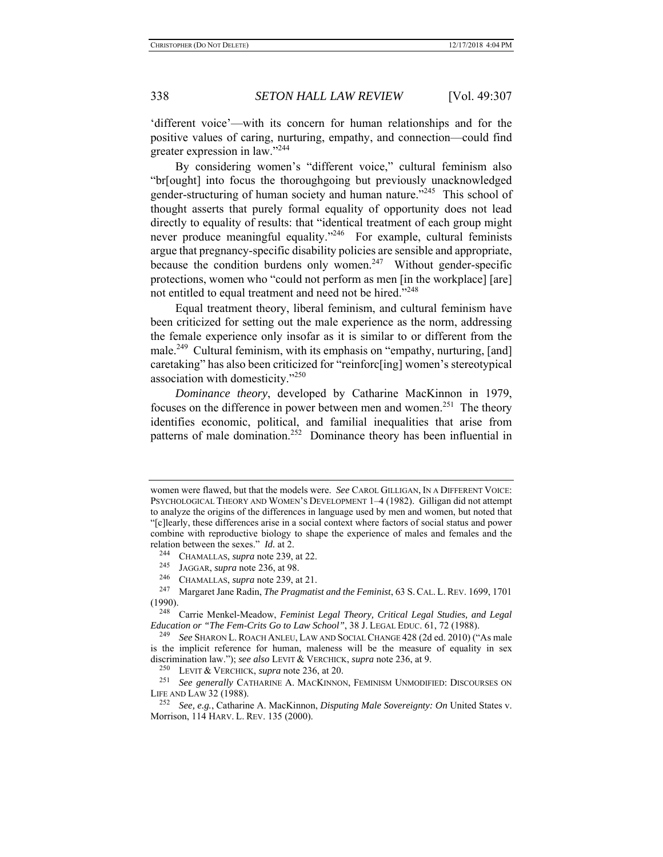'different voice'—with its concern for human relationships and for the positive values of caring, nurturing, empathy, and connection—could find greater expression in law."244

By considering women's "different voice," cultural feminism also "br[ought] into focus the thoroughgoing but previously unacknowledged gender-structuring of human society and human nature."<sup>245</sup> This school of thought asserts that purely formal equality of opportunity does not lead directly to equality of results: that "identical treatment of each group might never produce meaningful equality."<sup>246</sup> For example, cultural feminists argue that pregnancy-specific disability policies are sensible and appropriate, because the condition burdens only women.<sup>247</sup> Without gender-specific protections, women who "could not perform as men [in the workplace] [are] not entitled to equal treatment and need not be hired."<sup>248</sup>

Equal treatment theory, liberal feminism, and cultural feminism have been criticized for setting out the male experience as the norm, addressing the female experience only insofar as it is similar to or different from the male.<sup>249</sup> Cultural feminism, with its emphasis on "empathy, nurturing, [and] caretaking" has also been criticized for "reinforc[ing] women's stereotypical association with domesticity."250

*Dominance theory*, developed by Catharine MacKinnon in 1979, focuses on the difference in power between men and women.<sup>251</sup> The theory identifies economic, political, and familial inequalities that arise from patterns of male domination.252 Dominance theory has been influential in

women were flawed, but that the models were. *See* CAROL GILLIGAN, IN A DIFFERENT VOICE: PSYCHOLOGICAL THEORY AND WOMEN'S DEVELOPMENT 1–4 (1982). Gilligan did not attempt to analyze the origins of the differences in language used by men and women, but noted that "[c]learly, these differences arise in a social context where factors of social status and power combine with reproductive biology to shape the experience of males and females and the relation between the sexes." *Id.* at 2.<br><sup>244</sup> CHAMALLAS, *supra* note 239, at 22.<br><sup>245</sup> LAGGAP, *supra* note 236, at 98.

JAGGAR, *supra* note 236, at 98.

<sup>&</sup>lt;sup>246</sup> CHAMALLAS, *supra* note 239, at 21.<br><sup>247</sup> Margaret Jane Radin *The Pragmati* 

<sup>247</sup> Margaret Jane Radin, *The Pragmatist and the Feminist*, 63 S. CAL. L. REV. 1699, 1701 (1990).

<sup>248</sup> Carrie Menkel-Meadow, *Feminist Legal Theory, Critical Legal Studies, and Legal Education or "The Fem-Crits Go to Law School"*, 38 J. LEGAL EDUC. 61, 72 (1988).<br><sup>249</sup> See SUARONI, ROACH ANLELLAW AND SOCIAL CHANGE 428 (2d ed. 2010) ("

See SHARON L. ROACH ANLEU, LAW AND SOCIAL CHANGE 428 (2d ed. 2010) ("As male is the implicit reference for human, maleness will be the measure of equality in sex discrimination law."); *see also* LEVIT & VERCHICK, *supra* note 236, at 9.

<sup>250</sup> LEVIT & VERCHICK, *supra* note 236, at 20.

<sup>251</sup> *See generally* CATHARINE A. MACKINNON, FEMINISM UNMODIFIED: DISCOURSES ON LIFE AND LAW 32 (1988).

<sup>252</sup> *See, e.g.*, Catharine A. MacKinnon, *Disputing Male Sovereignty: On* United States v. Morrison, 114 HARV. L. REV. 135 (2000).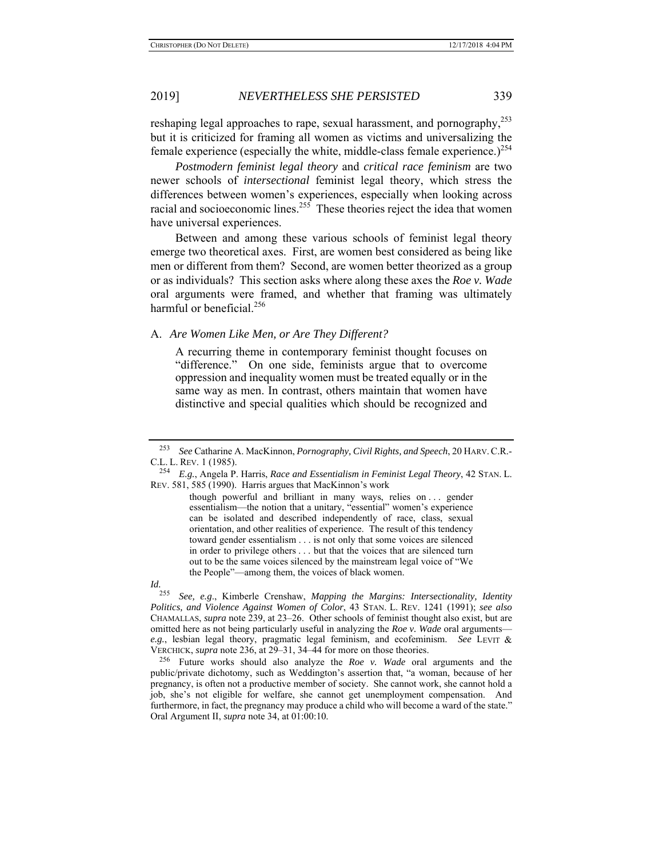reshaping legal approaches to rape, sexual harassment, and pornography,<sup>253</sup> but it is criticized for framing all women as victims and universalizing the female experience (especially the white, middle-class female experience.)<sup>254</sup>

*Postmodern feminist legal theory* and *critical race feminism* are two newer schools of *intersectional* feminist legal theory, which stress the differences between women's experiences, especially when looking across racial and socioeconomic lines.<sup>255</sup> These theories reject the idea that women have universal experiences.

Between and among these various schools of feminist legal theory emerge two theoretical axes. First, are women best considered as being like men or different from them? Second, are women better theorized as a group or as individuals? This section asks where along these axes the *Roe v. Wade* oral arguments were framed, and whether that framing was ultimately harmful or beneficial. $256$ 

### A. *Are Women Like Men, or Are They Different?*

A recurring theme in contemporary feminist thought focuses on "difference." On one side, feminists argue that to overcome oppression and inequality women must be treated equally or in the same way as men. In contrast, others maintain that women have distinctive and special qualities which should be recognized and

*Id.*

<sup>253</sup> *See* Catharine A. MacKinnon, *Pornography, Civil Rights, and Speech*, 20 HARV.C.R.- C.L. L. REV. 1 (1985).

<sup>254</sup> *E.g.*, Angela P. Harris, *Race and Essentialism in Feminist Legal Theory*, 42 STAN. L. REV. 581, 585 (1990). Harris argues that MacKinnon's work

though powerful and brilliant in many ways, relies on . . . gender essentialism—the notion that a unitary, "essential" women's experience can be isolated and described independently of race, class, sexual orientation, and other realities of experience. The result of this tendency toward gender essentialism . . . is not only that some voices are silenced in order to privilege others . . . but that the voices that are silenced turn out to be the same voices silenced by the mainstream legal voice of "We the People"—among them, the voices of black women.

<sup>255</sup> *See, e.g*., Kimberle Crenshaw, *Mapping the Margins: Intersectionality, Identity Politics, and Violence Against Women of Color*, 43 STAN. L. REV. 1241 (1991); *see also* CHAMALLAS, *supra* note 239, at 23–26. Other schools of feminist thought also exist, but are omitted here as not being particularly useful in analyzing the *Roe v. Wade* oral arguments *e.g.*, lesbian legal theory, pragmatic legal feminism, and ecofeminism. *See* LEVIT & VERCHICK, *supra* note 236, at 29–31, 34–44 for more on those theories.

<sup>256</sup> Future works should also analyze the *Roe v. Wade* oral arguments and the public/private dichotomy, such as Weddington's assertion that, "a woman, because of her pregnancy, is often not a productive member of society. She cannot work, she cannot hold a job, she's not eligible for welfare, she cannot get unemployment compensation. And furthermore, in fact, the pregnancy may produce a child who will become a ward of the state." Oral Argument II, *supra* note 34, at 01:00:10.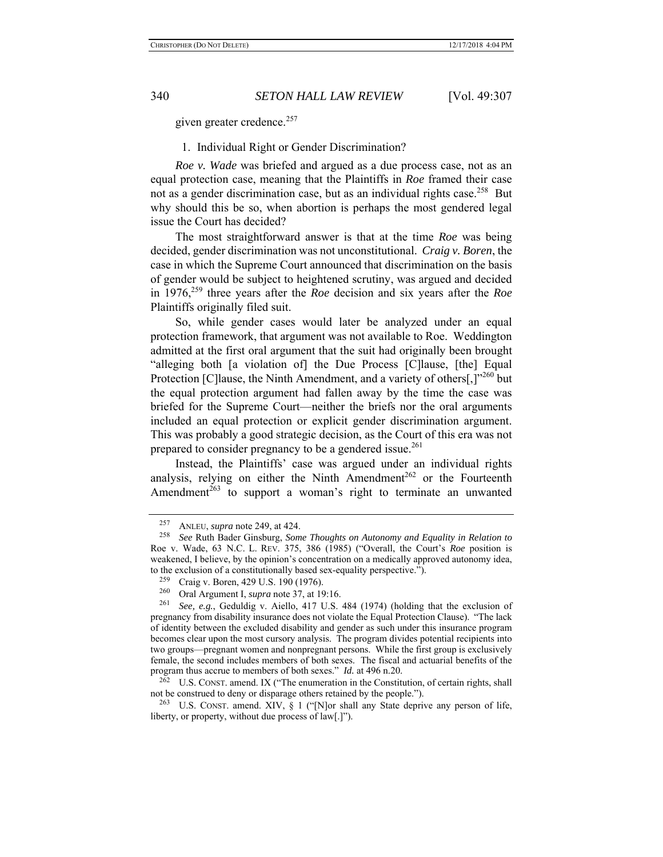given greater credence.<sup>257</sup>

### 1. Individual Right or Gender Discrimination?

*Roe v. Wade* was briefed and argued as a due process case, not as an equal protection case, meaning that the Plaintiffs in *Roe* framed their case not as a gender discrimination case, but as an individual rights case.<sup>258</sup> But why should this be so, when abortion is perhaps the most gendered legal issue the Court has decided?

The most straightforward answer is that at the time *Roe* was being decided, gender discrimination was not unconstitutional. *Craig v. Boren*, the case in which the Supreme Court announced that discrimination on the basis of gender would be subject to heightened scrutiny, was argued and decided in 1976,259 three years after the *Roe* decision and six years after the *Roe* Plaintiffs originally filed suit.

So, while gender cases would later be analyzed under an equal protection framework, that argument was not available to Roe. Weddington admitted at the first oral argument that the suit had originally been brought "alleging both [a violation of] the Due Process [C]lause, [the] Equal Protection [C]lause, the Ninth Amendment, and a variety of others[,]"260 but the equal protection argument had fallen away by the time the case was briefed for the Supreme Court—neither the briefs nor the oral arguments included an equal protection or explicit gender discrimination argument. This was probably a good strategic decision, as the Court of this era was not prepared to consider pregnancy to be a gendered issue.<sup>261</sup>

Instead, the Plaintiffs' case was argued under an individual rights analysis, relying on either the Ninth Amendment<sup>262</sup> or the Fourteenth Amendment<sup>263</sup> to support a woman's right to terminate an unwanted

<sup>&</sup>lt;sup>257</sup> ANLEU, *supra* note 249, at 424.<br><sup>258</sup> See Ruth Bader Ginsburg, Som

<sup>258</sup> *See* Ruth Bader Ginsburg, *Some Thoughts on Autonomy and Equality in Relation to*  Roe v. Wade, 63 N.C. L. REV. 375, 386 (1985) ("Overall, the Court's *Roe* position is weakened, I believe, by the opinion's concentration on a medically approved autonomy idea, to the exclusion of a constitutionally based sex-equality perspective.").

<sup>&</sup>lt;sup>259</sup> Craig v. Boren, 429 U.S. 190 (1976).<br><sup>260</sup> Oral Argument L sung note 37, at 10

<sup>&</sup>lt;sup>260</sup> Oral Argument I, *supra* note 37, at 19:16.<br><sup>261</sup> See a.g. Geduldig v. Aiello 417 U.S.

See, e.g., Geduldig v. Aiello, 417 U.S. 484 (1974) (holding that the exclusion of pregnancy from disability insurance does not violate the Equal Protection Clause). "The lack of identity between the excluded disability and gender as such under this insurance program becomes clear upon the most cursory analysis. The program divides potential recipients into two groups—pregnant women and nonpregnant persons. While the first group is exclusively female, the second includes members of both sexes. The fiscal and actuarial benefits of the program thus accrue to members of both sexes." *Id.* at 496 n.20.

<sup>&</sup>lt;sup>262</sup> U.S. CONST. amend. IX ("The enumeration in the Constitution, of certain rights, shall not be construed to deny or disparage others retained by the people.").

<sup>&</sup>lt;sup>263</sup> U.S. CONST. amend. XIV,  $\S$  1 ("[N]or shall any State deprive any person of life, liberty, or property, without due process of law[.]").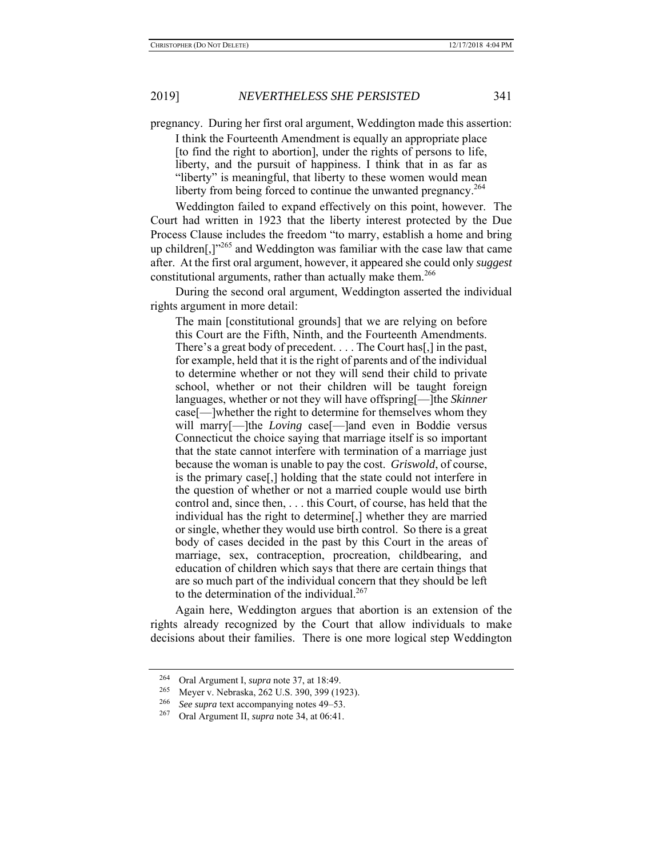pregnancy. During her first oral argument, Weddington made this assertion:

I think the Fourteenth Amendment is equally an appropriate place [to find the right to abortion], under the rights of persons to life, liberty, and the pursuit of happiness. I think that in as far as "liberty" is meaningful, that liberty to these women would mean liberty from being forced to continue the unwanted pregnancy.<sup>264</sup>

Weddington failed to expand effectively on this point, however. The Court had written in 1923 that the liberty interest protected by the Due Process Clause includes the freedom "to marry, establish a home and bring up children[,] $v^{265}$  and Weddington was familiar with the case law that came after. At the first oral argument, however, it appeared she could only *suggest* constitutional arguments, rather than actually make them.<sup>266</sup>

During the second oral argument, Weddington asserted the individual rights argument in more detail:

The main [constitutional grounds] that we are relying on before this Court are the Fifth, Ninth, and the Fourteenth Amendments. There's a great body of precedent. . . . The Court has[,] in the past, for example, held that it is the right of parents and of the individual to determine whether or not they will send their child to private school, whether or not their children will be taught foreign languages, whether or not they will have offspring[—]the *Skinner* case[—]whether the right to determine for themselves whom they will marry[—]the *Loving* case[—]and even in Boddie versus Connecticut the choice saying that marriage itself is so important that the state cannot interfere with termination of a marriage just because the woman is unable to pay the cost. *Griswold*, of course, is the primary case[,] holding that the state could not interfere in the question of whether or not a married couple would use birth control and, since then, . . . this Court, of course, has held that the individual has the right to determine[,] whether they are married or single, whether they would use birth control. So there is a great body of cases decided in the past by this Court in the areas of marriage, sex, contraception, procreation, childbearing, and education of children which says that there are certain things that are so much part of the individual concern that they should be left to the determination of the individual.<sup>267</sup>

Again here, Weddington argues that abortion is an extension of the rights already recognized by the Court that allow individuals to make decisions about their families. There is one more logical step Weddington

<sup>264</sup> Oral Argument I, *supra* note 37, at 18:49.

 $^{265}$  Meyer v. Nebraska, 262 U.S. 390, 399 (1923).

<sup>&</sup>lt;sup>266</sup> *See supra* text accompanying notes  $49-53$ .<br><sup>267</sup> Oral Argument II *supra* note  $34$  at 06:41

<sup>267</sup> Oral Argument II, *supra* note 34, at 06:41.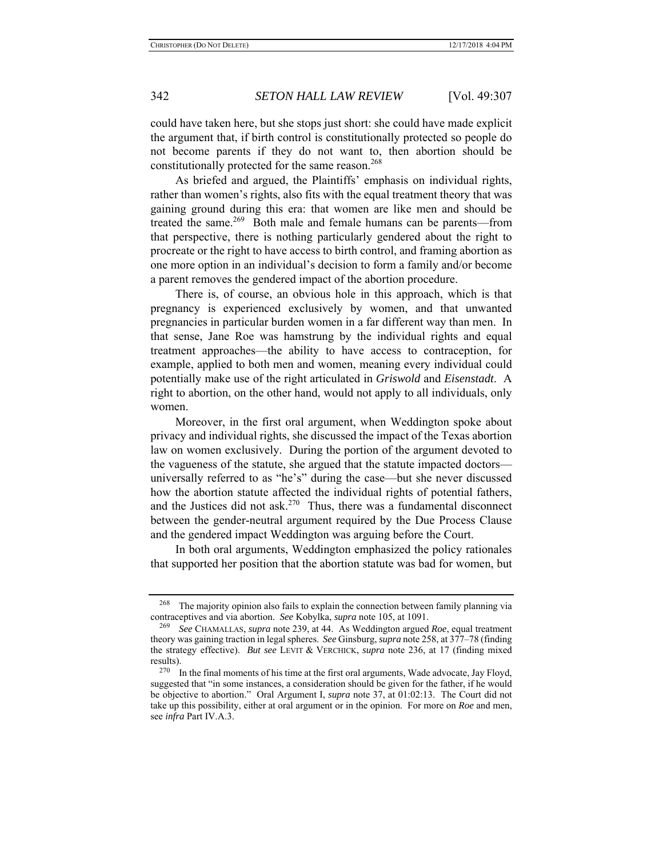could have taken here, but she stops just short: she could have made explicit the argument that, if birth control is constitutionally protected so people do not become parents if they do not want to, then abortion should be constitutionally protected for the same reason.<sup>268</sup>

As briefed and argued, the Plaintiffs' emphasis on individual rights, rather than women's rights, also fits with the equal treatment theory that was gaining ground during this era: that women are like men and should be treated the same.269 Both male and female humans can be parents—from that perspective, there is nothing particularly gendered about the right to procreate or the right to have access to birth control, and framing abortion as one more option in an individual's decision to form a family and/or become a parent removes the gendered impact of the abortion procedure.

There is, of course, an obvious hole in this approach, which is that pregnancy is experienced exclusively by women, and that unwanted pregnancies in particular burden women in a far different way than men. In that sense, Jane Roe was hamstrung by the individual rights and equal treatment approaches—the ability to have access to contraception, for example, applied to both men and women, meaning every individual could potentially make use of the right articulated in *Griswold* and *Eisenstadt*. A right to abortion, on the other hand, would not apply to all individuals, only women.

Moreover, in the first oral argument, when Weddington spoke about privacy and individual rights, she discussed the impact of the Texas abortion law on women exclusively. During the portion of the argument devoted to the vagueness of the statute, she argued that the statute impacted doctors universally referred to as "he's" during the case—but she never discussed how the abortion statute affected the individual rights of potential fathers, and the Justices did not ask.<sup>270</sup> Thus, there was a fundamental disconnect between the gender-neutral argument required by the Due Process Clause and the gendered impact Weddington was arguing before the Court.

In both oral arguments, Weddington emphasized the policy rationales that supported her position that the abortion statute was bad for women, but

<sup>&</sup>lt;sup>268</sup> The majority opinion also fails to explain the connection between family planning via contraceptives and via abortion. *See* Kobylka, *supra* note 105, at 1091.

<sup>269</sup> *See* CHAMALLAS, *supra* note 239, at 44. As Weddington argued *Roe*, equal treatment theory was gaining traction in legal spheres. *See* Ginsburg, *supra* note 258, at 377–78 (finding the strategy effective). *But see* LEVIT & VERCHICK, *supra* note 236, at 17 (finding mixed results).

 $270$  In the final moments of his time at the first oral arguments, Wade advocate, Jay Floyd, suggested that "in some instances, a consideration should be given for the father, if he would be objective to abortion." Oral Argument I, *supra* note 37, at 01:02:13. The Court did not take up this possibility, either at oral argument or in the opinion. For more on *Roe* and men, see *infra* Part IV.A.3.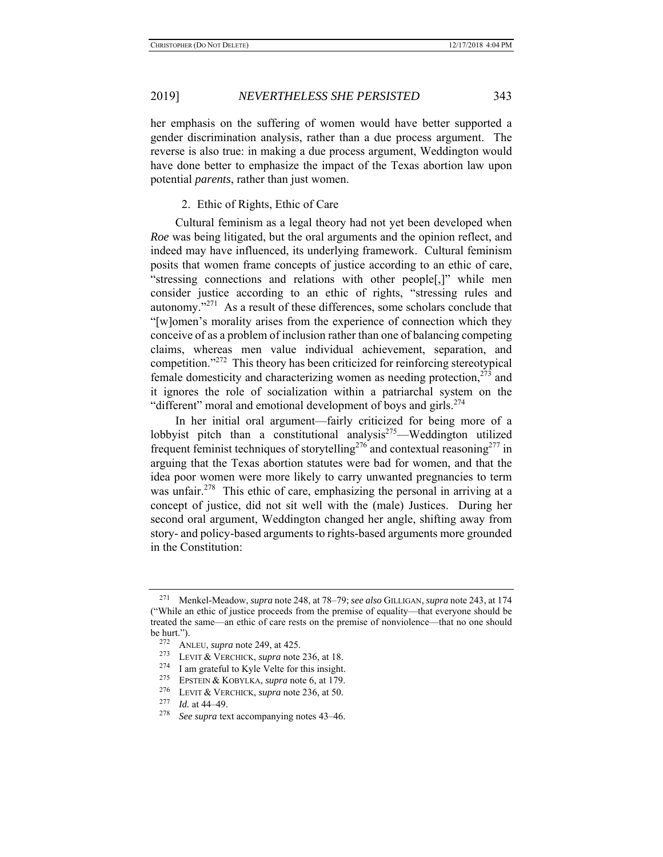her emphasis on the suffering of women would have better supported a gender discrimination analysis, rather than a due process argument. The reverse is also true: in making a due process argument, Weddington would have done better to emphasize the impact of the Texas abortion law upon potential *parents*, rather than just women.

### 2. Ethic of Rights, Ethic of Care

Cultural feminism as a legal theory had not yet been developed when *Roe* was being litigated, but the oral arguments and the opinion reflect, and indeed may have influenced, its underlying framework. Cultural feminism posits that women frame concepts of justice according to an ethic of care, "stressing connections and relations with other people[,]" while men consider justice according to an ethic of rights, "stressing rules and autonomy."271 As a result of these differences, some scholars conclude that "[w]omen's morality arises from the experience of connection which they conceive of as a problem of inclusion rather than one of balancing competing claims, whereas men value individual achievement, separation, and competition."272 This theory has been criticized for reinforcing stereotypical female domesticity and characterizing women as needing protection, $273$  and it ignores the role of socialization within a patriarchal system on the "different" moral and emotional development of boys and girls.<sup>274</sup>

In her initial oral argument—fairly criticized for being more of a lobbyist pitch than a constitutional analysis<sup>275</sup>—Weddington utilized frequent feminist techniques of storytelling<sup>276</sup> and contextual reasoning<sup>277</sup> in arguing that the Texas abortion statutes were bad for women, and that the idea poor women were more likely to carry unwanted pregnancies to term was unfair.<sup>278</sup> This ethic of care, emphasizing the personal in arriving at a concept of justice, did not sit well with the (male) Justices. During her second oral argument, Weddington changed her angle, shifting away from story- and policy-based arguments to rights-based arguments more grounded in the Constitution:

<sup>271</sup> Menkel-Meadow, *supra* note 248, at 78–79; *see also* GILLIGAN, *supra* note 243, at 174 ("While an ethic of justice proceeds from the premise of equality—that everyone should be treated the same—an ethic of care rests on the premise of nonviolence—that no one should be hurt.").

<sup>272</sup> ANLEU, *supra* note 249, at 425.

<sup>273</sup> LEVIT & VERCHICK, *supra* note 236, at 18.

<sup>&</sup>lt;sup>274</sup> I am grateful to Kyle Velte for this insight.<br><sup>275</sup> EPSTEN & KORVI KA, sunra note 6, at 179

EPSTEIN & KOBYLKA, *supra* note 6, at 179.

<sup>&</sup>lt;sup>276</sup> LEVIT & VERCHICK, *supra* note 236, at 50.

<sup>&</sup>lt;sup>277</sup> *Id.* at 44–49.<br><sup>278</sup> *See sunra* tex

See supra text accompanying notes 43–46.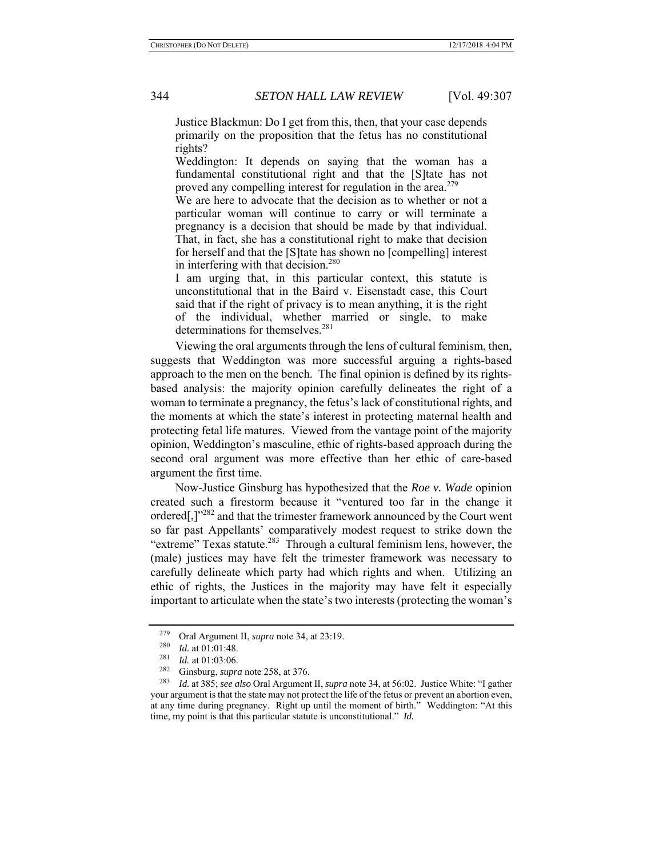Justice Blackmun: Do I get from this, then, that your case depends primarily on the proposition that the fetus has no constitutional rights?

Weddington: It depends on saying that the woman has a fundamental constitutional right and that the [S]tate has not proved any compelling interest for regulation in the area.<sup>279</sup>

We are here to advocate that the decision as to whether or not a particular woman will continue to carry or will terminate a pregnancy is a decision that should be made by that individual. That, in fact, she has a constitutional right to make that decision for herself and that the [S]tate has shown no [compelling] interest in interfering with that decision. $280$ 

I am urging that, in this particular context, this statute is unconstitutional that in the Baird v. Eisenstadt case, this Court said that if the right of privacy is to mean anything, it is the right of the individual, whether married or single, to make determinations for themselves.<sup>281</sup>

Viewing the oral arguments through the lens of cultural feminism, then, suggests that Weddington was more successful arguing a rights-based approach to the men on the bench. The final opinion is defined by its rightsbased analysis: the majority opinion carefully delineates the right of a woman to terminate a pregnancy, the fetus's lack of constitutional rights, and the moments at which the state's interest in protecting maternal health and protecting fetal life matures. Viewed from the vantage point of the majority opinion, Weddington's masculine, ethic of rights-based approach during the second oral argument was more effective than her ethic of care-based argument the first time.

Now-Justice Ginsburg has hypothesized that the *Roe v. Wade* opinion created such a firestorm because it "ventured too far in the change it ordered[,]"<sup>282</sup> and that the trimester framework announced by the Court went so far past Appellants' comparatively modest request to strike down the "extreme" Texas statute.<sup>283</sup> Through a cultural feminism lens, however, the (male) justices may have felt the trimester framework was necessary to carefully delineate which party had which rights and when. Utilizing an ethic of rights, the Justices in the majority may have felt it especially important to articulate when the state's two interests (protecting the woman's

<sup>&</sup>lt;sup>279</sup> Oral Argument II, *supra* note 34, at 23:19.<br><sup>280</sup> *Id.* at 01:01:48

Id. at 01:01:48.

 $\frac{281}{282}$  *Id.* at 01:03:06.

Ginsburg, *supra* note 258, at 376.

<sup>283</sup> *Id.* at 385; *see also* Oral Argument II, *supra* note 34, at 56:02. Justice White: "I gather your argument is that the state may not protect the life of the fetus or prevent an abortion even, at any time during pregnancy. Right up until the moment of birth." Weddington: "At this time, my point is that this particular statute is unconstitutional." *Id.*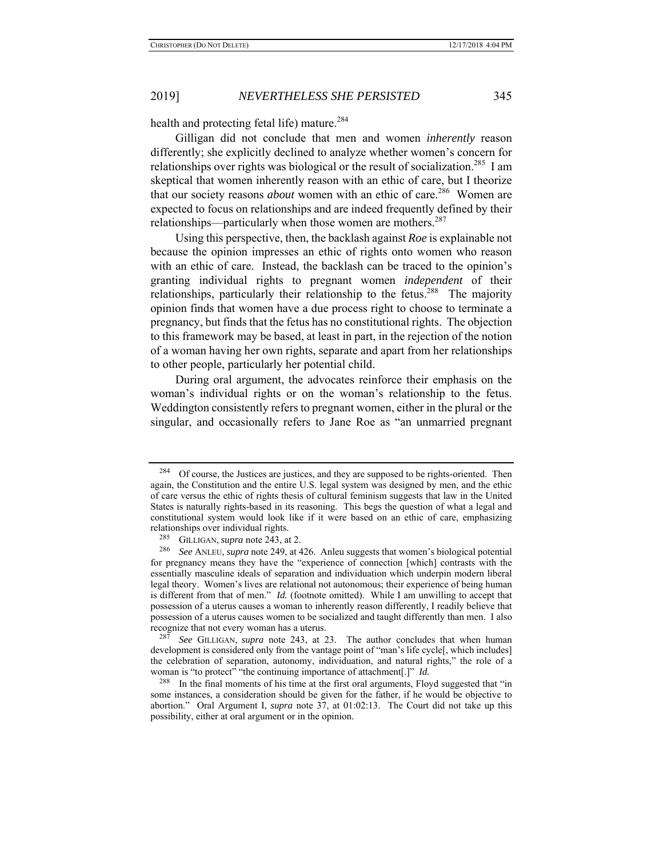health and protecting fetal life) mature.<sup>284</sup>

Gilligan did not conclude that men and women *inherently* reason differently; she explicitly declined to analyze whether women's concern for relationships over rights was biological or the result of socialization.<sup>285</sup> I am skeptical that women inherently reason with an ethic of care, but I theorize that our society reasons *about* women with an ethic of care.<sup>286</sup> Women are expected to focus on relationships and are indeed frequently defined by their relationships—particularly when those women are mothers. $287$ 

Using this perspective, then, the backlash against *Roe* is explainable not because the opinion impresses an ethic of rights onto women who reason with an ethic of care. Instead, the backlash can be traced to the opinion's granting individual rights to pregnant women *independent* of their relationships, particularly their relationship to the fetus.<sup>288</sup> The maiority opinion finds that women have a due process right to choose to terminate a pregnancy, but finds that the fetus has no constitutional rights. The objection to this framework may be based, at least in part, in the rejection of the notion of a woman having her own rights, separate and apart from her relationships to other people, particularly her potential child.

During oral argument, the advocates reinforce their emphasis on the woman's individual rights or on the woman's relationship to the fetus. Weddington consistently refers to pregnant women, either in the plural or the singular, and occasionally refers to Jane Roe as "an unmarried pregnant

See GILLIGAN, *supra* note 243, at 23. The author concludes that when human development is considered only from the vantage point of "man's life cycle[, which includes] the celebration of separation, autonomy, individuation, and natural rights," the role of a woman is "to protect" "the continuing importance of attachment[.]" *Id.* 

 $284$  Of course, the Justices are justices, and they are supposed to be rights-oriented. Then again, the Constitution and the entire U.S. legal system was designed by men, and the ethic of care versus the ethic of rights thesis of cultural feminism suggests that law in the United States is naturally rights-based in its reasoning. This begs the question of what a legal and constitutional system would look like if it were based on an ethic of care, emphasizing relationships over individual rights.

<sup>&</sup>lt;sup>285</sup> GILLIGAN, *supra* note 243, at 2.<br><sup>286</sup> See ANUELL supra pote 240, at 4

<sup>286</sup> *See* ANLEU, *supra* note 249, at 426. Anleu suggests that women's biological potential for pregnancy means they have the "experience of connection [which] contrasts with the essentially masculine ideals of separation and individuation which underpin modern liberal legal theory. Women's lives are relational not autonomous; their experience of being human is different from that of men." *Id.* (footnote omitted). While I am unwilling to accept that possession of a uterus causes a woman to inherently reason differently, I readily believe that possession of a uterus causes women to be socialized and taught differently than men. I also recognize that not every woman has a uterus.

<sup>&</sup>lt;sup>288</sup> In the final moments of his time at the first oral arguments, Floyd suggested that "in some instances, a consideration should be given for the father, if he would be objective to abortion." Oral Argument I, *supra* note 37, at 01:02:13. The Court did not take up this possibility, either at oral argument or in the opinion.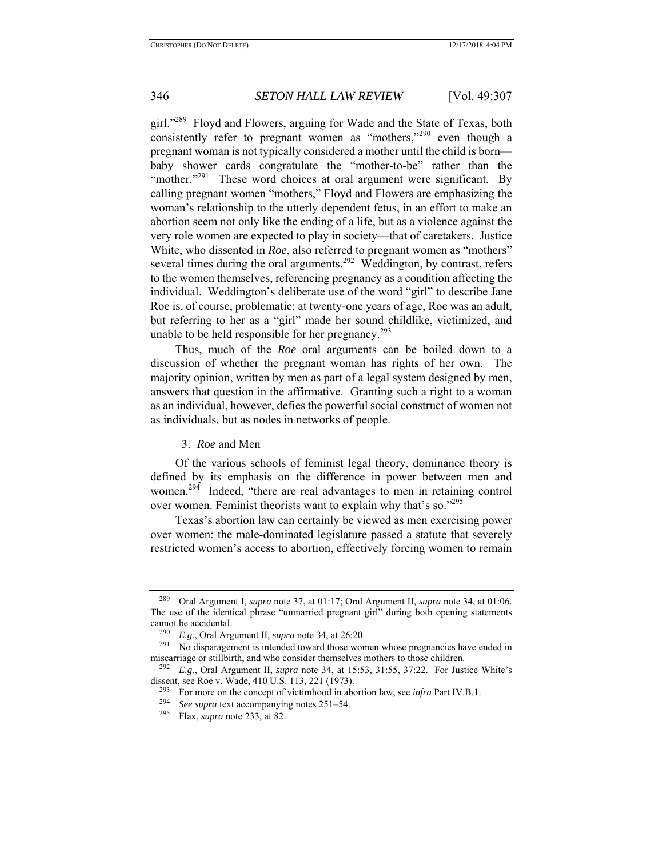girl."<sup>289</sup> Floyd and Flowers, arguing for Wade and the State of Texas, both consistently refer to pregnant women as "mothers,"<sup>290</sup> even though a pregnant woman is not typically considered a mother until the child is born baby shower cards congratulate the "mother-to-be" rather than the "mother."<sup>291</sup> These word choices at oral argument were significant. By calling pregnant women "mothers," Floyd and Flowers are emphasizing the woman's relationship to the utterly dependent fetus, in an effort to make an abortion seem not only like the ending of a life, but as a violence against the very role women are expected to play in society—that of caretakers. Justice White, who dissented in *Roe*, also referred to pregnant women as "mothers" several times during the oral arguments.<sup>292</sup> Weddington, by contrast, refers to the women themselves, referencing pregnancy as a condition affecting the individual. Weddington's deliberate use of the word "girl" to describe Jane Roe is, of course, problematic: at twenty-one years of age, Roe was an adult, but referring to her as a "girl" made her sound childlike, victimized, and unable to be held responsible for her pregnancy. $293$ 

Thus, much of the *Roe* oral arguments can be boiled down to a discussion of whether the pregnant woman has rights of her own. The majority opinion, written by men as part of a legal system designed by men, answers that question in the affirmative. Granting such a right to a woman as an individual, however, defies the powerful social construct of women not as individuals, but as nodes in networks of people.

### 3. *Roe* and Men

Of the various schools of feminist legal theory, dominance theory is defined by its emphasis on the difference in power between men and women.<sup>294</sup> Indeed, "there are real advantages to men in retaining control over women. Feminist theorists want to explain why that's so."295

Texas's abortion law can certainly be viewed as men exercising power over women: the male-dominated legislature passed a statute that severely restricted women's access to abortion, effectively forcing women to remain

<sup>289</sup> Oral Argument I, *supra* note 37, at 01:17; Oral Argument II, *supra* note 34, at 01:06. The use of the identical phrase "unmarried pregnant girl" during both opening statements cannot be accidental.

<sup>290</sup> *E.g.*, Oral Argument II, *supra* note 34, at 26:20.

 $291$  No disparagement is intended toward those women whose pregnancies have ended in miscarriage or stillbirth, and who consider themselves mothers to those children.

<sup>292</sup> *E.g.*, Oral Argument II, *supra* note 34, at 15:53, 31:55, 37:22. For Justice White's dissent, see Roe v. Wade, 410 U.S. 113, 221 (1973).

<sup>&</sup>lt;sup>293</sup> For more on the concept of victimhood in abortion law, see *infra* Part IV.B.1.<br><sup>294</sup> See sung to the accompanying potes  $251, 54$ 

<sup>&</sup>lt;sup>294</sup> *See supra* text accompanying notes  $251-54$ .<br><sup>295</sup> Elex *supra* note  $233$  at 82

<sup>295</sup> Flax, *supra* note 233, at 82.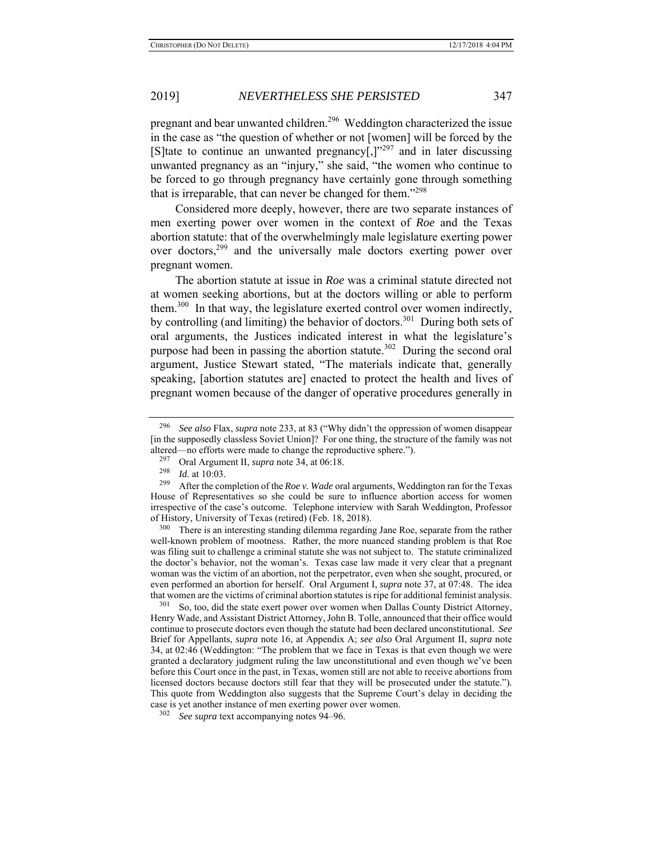pregnant and bear unwanted children.<sup>296</sup> Weddington characterized the issue in the case as "the question of whether or not [women] will be forced by the [S]tate to continue an unwanted pregnancy $[$ ,] $]$ <sup>297</sup> and in later discussing unwanted pregnancy as an "injury," she said, "the women who continue to be forced to go through pregnancy have certainly gone through something that is irreparable, that can never be changed for them."<sup>298</sup>

Considered more deeply, however, there are two separate instances of men exerting power over women in the context of *Roe* and the Texas abortion statute: that of the overwhelmingly male legislature exerting power over doctors,<sup>299</sup> and the universally male doctors exerting power over pregnant women.

The abortion statute at issue in *Roe* was a criminal statute directed not at women seeking abortions, but at the doctors willing or able to perform them.<sup>300</sup> In that way, the legislature exerted control over women indirectly, by controlling (and limiting) the behavior of doctors.<sup>301</sup> During both sets of oral arguments, the Justices indicated interest in what the legislature's purpose had been in passing the abortion statute.<sup>302</sup> During the second oral argument, Justice Stewart stated, "The materials indicate that, generally speaking, [abortion statutes are] enacted to protect the health and lives of pregnant women because of the danger of operative procedures generally in

<sup>300</sup> There is an interesting standing dilemma regarding Jane Roe, separate from the rather well-known problem of mootness. Rather, the more nuanced standing problem is that Roe was filing suit to challenge a criminal statute she was not subject to. The statute criminalized the doctor's behavior, not the woman's. Texas case law made it very clear that a pregnant woman was the victim of an abortion, not the perpetrator, even when she sought, procured, or even performed an abortion for herself. Oral Argument I, *supra* note 37, at 07:48. The idea that women are the victims of criminal abortion statutes is ripe for additional feminist analysis.

So, too, did the state exert power over women when Dallas County District Attorney, Henry Wade, and Assistant District Attorney, John B. Tolle, announced that their office would continue to prosecute doctors even though the statute had been declared unconstitutional. *See*  Brief for Appellants, *supra* note 16, at Appendix A; *see also* Oral Argument II, *supra* note 34, at 02:46 (Weddington: "The problem that we face in Texas is that even though we were granted a declaratory judgment ruling the law unconstitutional and even though we've been before this Court once in the past, in Texas, women still are not able to receive abortions from licensed doctors because doctors still fear that they will be prosecuted under the statute.")*.* This quote from Weddington also suggests that the Supreme Court's delay in deciding the case is yet another instance of men exerting power over women.

<sup>296</sup> *See also* Flax, *supra* note 233, at 83 ("Why didn't the oppression of women disappear [in the supposedly classless Soviet Union]? For one thing, the structure of the family was not altered—no efforts were made to change the reproductive sphere.").

<sup>&</sup>lt;sup>297</sup> Oral Argument II, *supra* note 34, at 06:18.<br><sup>298</sup> Id. at 10:03

 $\frac{298}{299}$  *Id.* at 10:03.

After the completion of the *Roe v. Wade* oral arguments, Weddington ran for the Texas House of Representatives so she could be sure to influence abortion access for women irrespective of the case's outcome. Telephone interview with Sarah Weddington, Professor of History, University of Texas (retired) (Feb. 18, 2018).

<sup>302</sup> *See supra* text accompanying notes 94–96.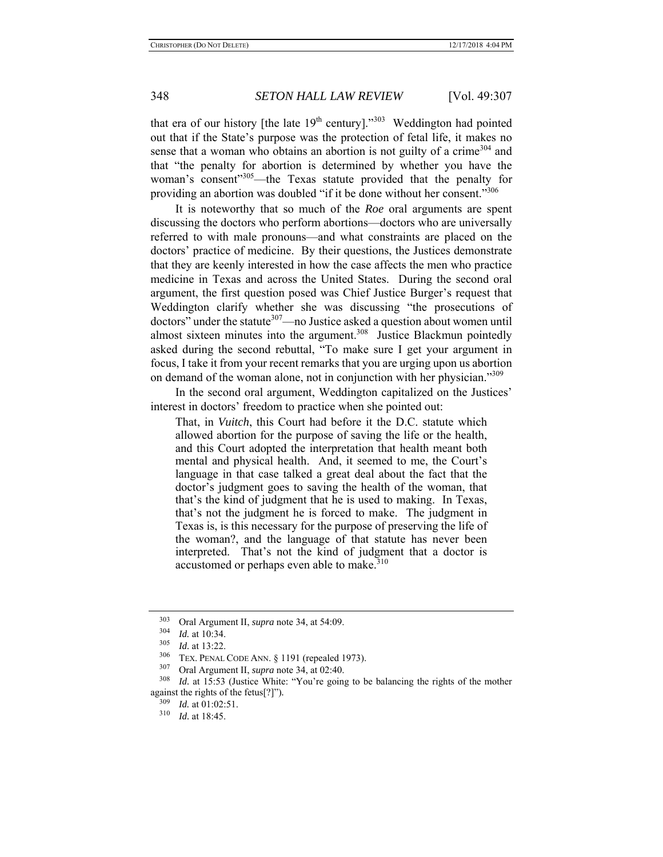that era of our history [the late  $19<sup>th</sup>$  century]."<sup>303</sup> Weddington had pointed out that if the State's purpose was the protection of fetal life, it makes no sense that a woman who obtains an abortion is not guilty of a crime<sup>304</sup> and that "the penalty for abortion is determined by whether you have the woman's consent"<sup>305</sup>—the Texas statute provided that the penalty for providing an abortion was doubled "if it be done without her consent."306

It is noteworthy that so much of the *Roe* oral arguments are spent discussing the doctors who perform abortions—doctors who are universally referred to with male pronouns—and what constraints are placed on the doctors' practice of medicine. By their questions, the Justices demonstrate that they are keenly interested in how the case affects the men who practice medicine in Texas and across the United States. During the second oral argument, the first question posed was Chief Justice Burger's request that Weddington clarify whether she was discussing "the prosecutions of doctors" under the statute<sup>307</sup>—no Justice asked a question about women until almost sixteen minutes into the argument.<sup>308</sup> Justice Blackmun pointedly asked during the second rebuttal, "To make sure I get your argument in focus, I take it from your recent remarks that you are urging upon us abortion on demand of the woman alone, not in conjunction with her physician."<sup>309</sup>

In the second oral argument, Weddington capitalized on the Justices' interest in doctors' freedom to practice when she pointed out:

That, in *Vuitch*, this Court had before it the D.C. statute which allowed abortion for the purpose of saving the life or the health, and this Court adopted the interpretation that health meant both mental and physical health. And, it seemed to me, the Court's language in that case talked a great deal about the fact that the doctor's judgment goes to saving the health of the woman, that that's the kind of judgment that he is used to making. In Texas, that's not the judgment he is forced to make. The judgment in Texas is, is this necessary for the purpose of preserving the life of the woman?, and the language of that statute has never been interpreted. That's not the kind of judgment that a doctor is accustomed or perhaps even able to make.<sup>310</sup>

<sup>303</sup> Oral Argument II, *supra* note 34, at 54:09.

 $\frac{304}{305}$  *Id.* at 10:34.

 $\frac{305}{306}$  *Id.* at 13:22.

TEX. PENAL CODE ANN. § 1191 (repealed 1973).

<sup>307</sup> Oral Argument II, *supra* note 34, at 02:40.

Id. at 15:53 (Justice White: "You're going to be balancing the rights of the mother against the rights of the fetus[?]").<br> $\frac{309}{14}$  at 01:02:51

 $\frac{309}{310}$  *Id.* at 01:02:51.<br> $\frac{310}{64}$  at 18:45

*Id.* at 18:45.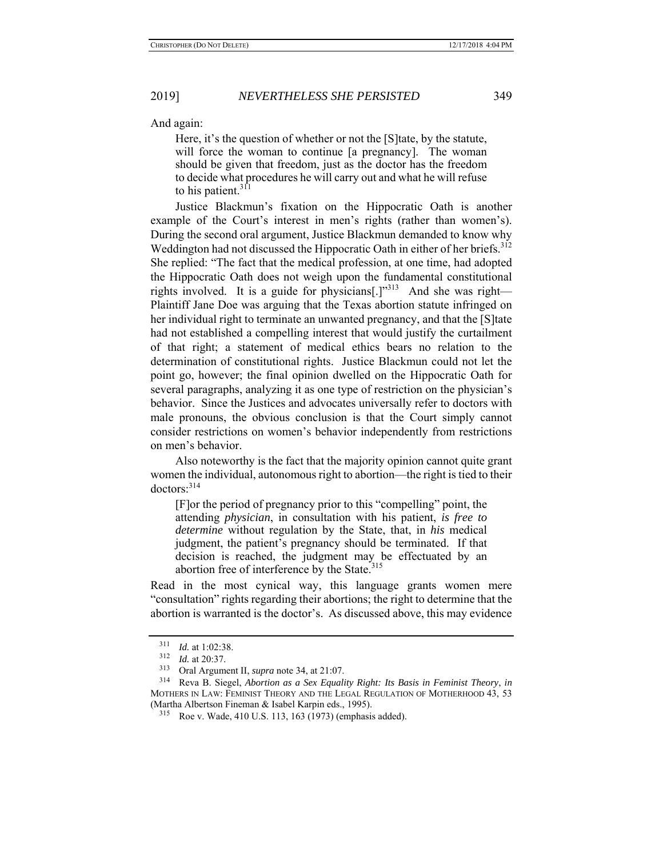And again:

Here, it's the question of whether or not the [S] tate, by the statute, will force the woman to continue [a pregnancy]. The woman should be given that freedom, just as the doctor has the freedom to decide what procedures he will carry out and what he will refuse to his patient. $311$ 

Justice Blackmun's fixation on the Hippocratic Oath is another example of the Court's interest in men's rights (rather than women's). During the second oral argument, Justice Blackmun demanded to know why Weddington had not discussed the Hippocratic Oath in either of her briefs.<sup>312</sup> She replied: "The fact that the medical profession, at one time, had adopted the Hippocratic Oath does not weigh upon the fundamental constitutional rights involved. It is a guide for physicians<sup>[1,1,313</sup> And she was right— Plaintiff Jane Doe was arguing that the Texas abortion statute infringed on her individual right to terminate an unwanted pregnancy, and that the [S] tate had not established a compelling interest that would justify the curtailment of that right; a statement of medical ethics bears no relation to the determination of constitutional rights. Justice Blackmun could not let the point go, however; the final opinion dwelled on the Hippocratic Oath for several paragraphs, analyzing it as one type of restriction on the physician's behavior. Since the Justices and advocates universally refer to doctors with male pronouns, the obvious conclusion is that the Court simply cannot consider restrictions on women's behavior independently from restrictions on men's behavior.

Also noteworthy is the fact that the majority opinion cannot quite grant women the individual, autonomous right to abortion—the right is tied to their doctors:<sup>314</sup>

[F]or the period of pregnancy prior to this "compelling" point, the attending *physician*, in consultation with his patient, *is free to determine* without regulation by the State, that, in *his* medical judgment, the patient's pregnancy should be terminated. If that decision is reached, the judgment may be effectuated by an abortion free of interference by the State.<sup>315</sup>

Read in the most cynical way, this language grants women mere "consultation" rights regarding their abortions; the right to determine that the abortion is warranted is the doctor's. As discussed above, this may evidence

 $\frac{311}{312}$  *Id.* at 1:02:38.

<sup>&</sup>lt;sup>312</sup> *Id.* at 20:37.<br><sup>313</sup> Oral Argum

Oral Argument II, *supra* note 34, at 21:07.

<sup>314</sup> Reva B. Siegel, *Abortion as a Sex Equality Right: Its Basis in Feminist Theory*, *in* MOTHERS IN LAW: FEMINIST THEORY AND THE LEGAL REGULATION OF MOTHERHOOD 43, 53 (Martha Albertson Fineman & Isabel Karpin eds., 1995).

<sup>315</sup> Roe v. Wade, 410 U.S. 113, 163 (1973) (emphasis added).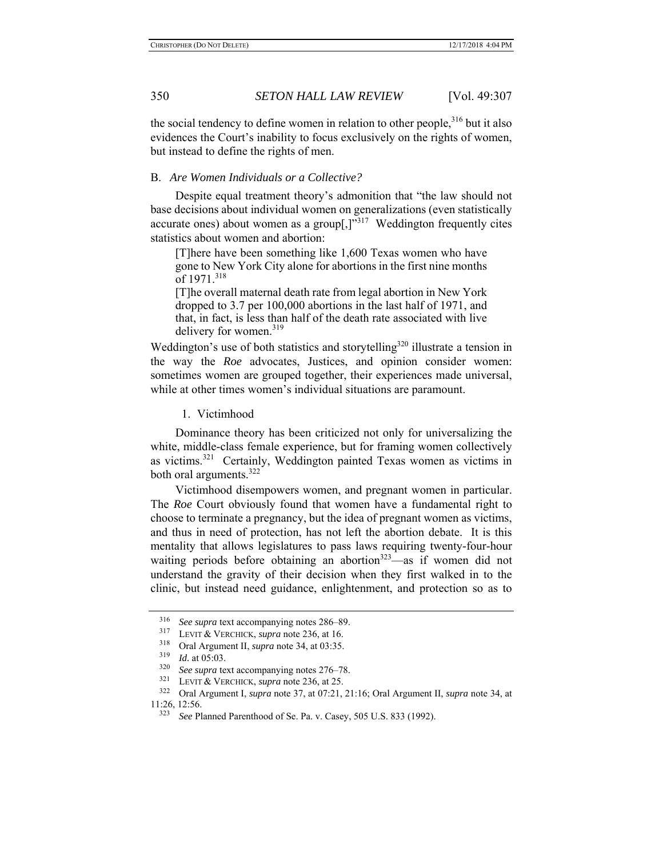the social tendency to define women in relation to other people,<sup>316</sup> but it also evidences the Court's inability to focus exclusively on the rights of women, but instead to define the rights of men.

### B. *Are Women Individuals or a Collective?*

Despite equal treatment theory's admonition that "the law should not base decisions about individual women on generalizations (even statistically accurate ones) about women as a group[ $,$ ]<sup> $,$ 317</sup> Weddington frequently cites statistics about women and abortion:

[T]here have been something like 1,600 Texas women who have gone to New York City alone for abortions in the first nine months of 1971.318

[T]he overall maternal death rate from legal abortion in New York dropped to 3.7 per 100,000 abortions in the last half of 1971, and that, in fact, is less than half of the death rate associated with live delivery for women.<sup>319</sup>

Weddington's use of both statistics and storytelling<sup>320</sup> illustrate a tension in the way the *Roe* advocates, Justices, and opinion consider women: sometimes women are grouped together, their experiences made universal, while at other times women's individual situations are paramount.

1. Victimhood

Dominance theory has been criticized not only for universalizing the white, middle-class female experience, but for framing women collectively as victims.321 Certainly, Weddington painted Texas women as victims in both oral arguments.<sup>322</sup>

Victimhood disempowers women, and pregnant women in particular. The *Roe* Court obviously found that women have a fundamental right to choose to terminate a pregnancy, but the idea of pregnant women as victims, and thus in need of protection, has not left the abortion debate. It is this mentality that allows legislatures to pass laws requiring twenty-four-hour waiting periods before obtaining an abortion<sup>323</sup>—as if women did not understand the gravity of their decision when they first walked in to the clinic, but instead need guidance, enlightenment, and protection so as to

<sup>316</sup> *See supra* text accompanying notes 286–89.

<sup>317</sup> LEVIT & VERCHICK, *supra* note 236, at 16.

<sup>&</sup>lt;sup>318</sup> Oral Argument II, *supra* note 34, at 03:35.<br><sup>319</sup> *L*, at 05:03

*Id.* at 05:03.

<sup>320</sup> *See supra* text accompanying notes 276–78.

<sup>321</sup> LEVIT & VERCHICK, *supra* note 236, at 25.

<sup>322</sup> Oral Argument I, *supra* note 37, at 07:21, 21:16; Oral Argument II, *supra* note 34, at 11:26, 12:56.<br> $\frac{323}{500}$ 

<sup>323</sup> *See* Planned Parenthood of Se. Pa. v. Casey, 505 U.S. 833 (1992).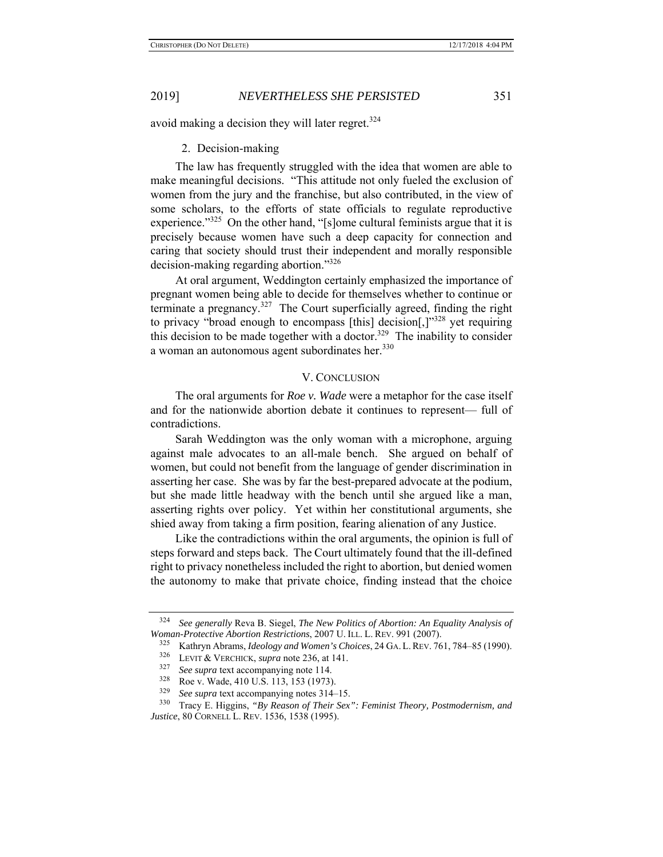avoid making a decision they will later regret. $324$ 

### 2. Decision-making

The law has frequently struggled with the idea that women are able to make meaningful decisions. "This attitude not only fueled the exclusion of women from the jury and the franchise, but also contributed, in the view of some scholars, to the efforts of state officials to regulate reproductive experience."<sup>325</sup> On the other hand, "[s]ome cultural feminists argue that it is precisely because women have such a deep capacity for connection and caring that society should trust their independent and morally responsible decision-making regarding abortion."326

At oral argument, Weddington certainly emphasized the importance of pregnant women being able to decide for themselves whether to continue or terminate a pregnancy.327 The Court superficially agreed, finding the right to privacy "broad enough to encompass [this] decision[,] $^{328}$  yet requiring this decision to be made together with a doctor.<sup>329</sup> The inability to consider a woman an autonomous agent subordinates her.<sup>330</sup>

### V. CONCLUSION

The oral arguments for *Roe v. Wade* were a metaphor for the case itself and for the nationwide abortion debate it continues to represent— full of contradictions.

Sarah Weddington was the only woman with a microphone, arguing against male advocates to an all-male bench. She argued on behalf of women, but could not benefit from the language of gender discrimination in asserting her case. She was by far the best-prepared advocate at the podium, but she made little headway with the bench until she argued like a man, asserting rights over policy. Yet within her constitutional arguments, she shied away from taking a firm position, fearing alienation of any Justice.

Like the contradictions within the oral arguments, the opinion is full of steps forward and steps back. The Court ultimately found that the ill-defined right to privacy nonetheless included the right to abortion, but denied women the autonomy to make that private choice, finding instead that the choice

<sup>324</sup> *See generally* Reva B. Siegel, *The New Politics of Abortion: An Equality Analysis of Woman-Protective Abortion Restrictions*, 2007 U. ILL. L. REV. 991 (2007).

<sup>325</sup> Kathryn Abrams, *Ideology and Women's Choices*, 24 GA. L.REV. 761, 784–85 (1990).

LEVIT & VERCHICK, *supra* note 236, at 141.

<sup>&</sup>lt;sup>327</sup> *See supra* text accompanying note 114.<br><sup>328</sup> Poo v. Wode 410 U.S. 113, 153 (1973)

 $328$  Roe v. Wade, 410 U.S. 113, 153 (1973).<br> $329$  See sung text accompanying notes 314.

See supra text accompanying notes 314–15.

<sup>330</sup> Tracy E. Higgins, *"By Reason of Their Sex": Feminist Theory, Postmodernism, and Justice*, 80 CORNELL L. REV. 1536, 1538 (1995).